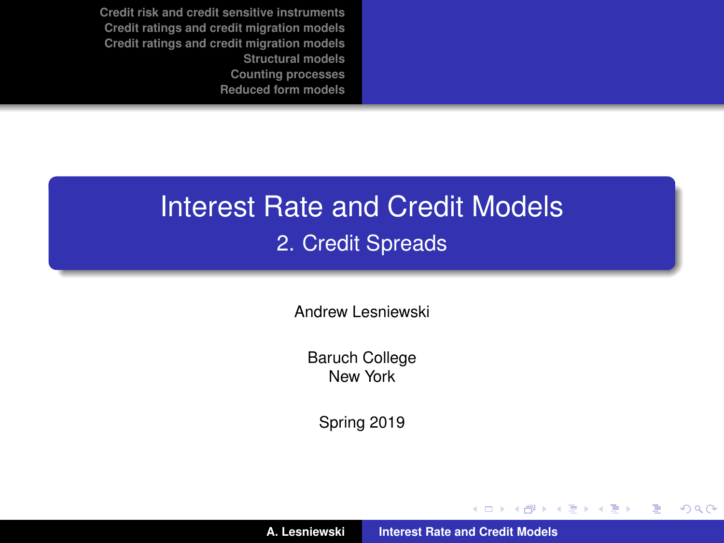# <span id="page-0-0"></span>Interest Rate and Credit Models 2. Credit Spreads

Andrew Lesniewski

Baruch College New York

Spring 2019

(ロトス個) (運) (運)

 $299$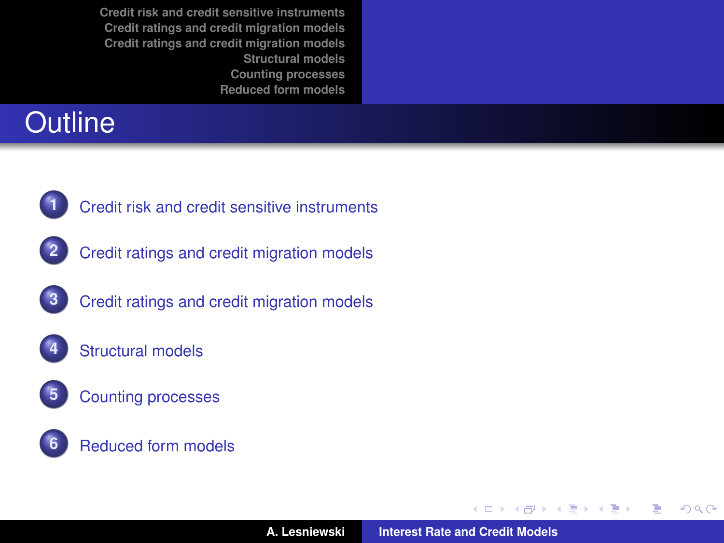# **Outline**



- **1** [Credit risk and credit sensitive instruments](#page-2-0)
- **2** [Credit ratings and credit migration models](#page-13-0)
- **3** [Credit ratings and credit migration models](#page-14-0)
	- **4** [Structural models](#page-21-0)
	- **5** [Counting processes](#page-40-0)
		- **6** [Reduced form models](#page-54-0)

(ロトス個) (運) (運)

 $299$ 

É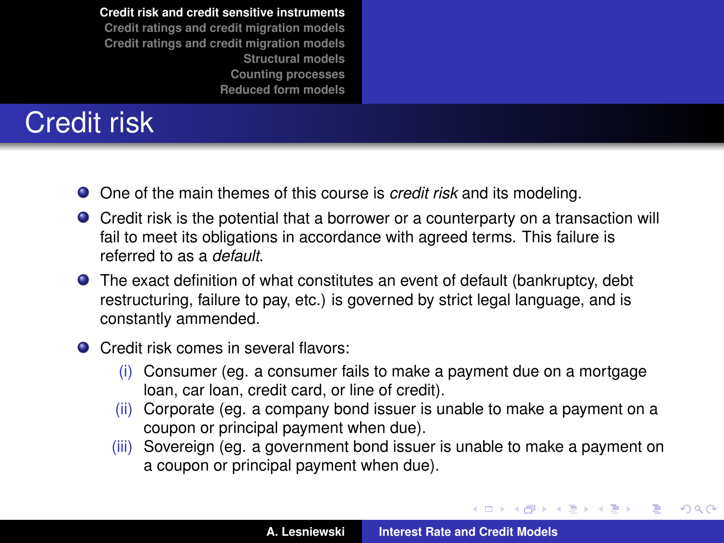# <span id="page-2-0"></span>Credit risk

- One of the main themes of this course is *credit risk* and its modeling.
- Credit risk is the potential that a borrower or a counterparty on a transaction will fail to meet its obligations in accordance with agreed terms. This failure is referred to as a *default*.
- The exact definition of what constitutes an event of default (bankruptcy, debt restructuring, failure to pay, etc.) is governed by strict legal language, and is constantly ammended.
- Credit risk comes in several flavors:
	- (i) Consumer (eg. a consumer fails to make a payment due on a mortgage loan, car loan, credit card, or line of credit).
	- (ii) Corporate (eg. a company bond issuer is unable to make a payment on a coupon or principal payment when due).
	- (iii) Sovereign (eg. a government bond issuer is unable to make a payment on a coupon or principal payment when due).

イロメ イ部メ イ君メ イ君メー

 $QQ$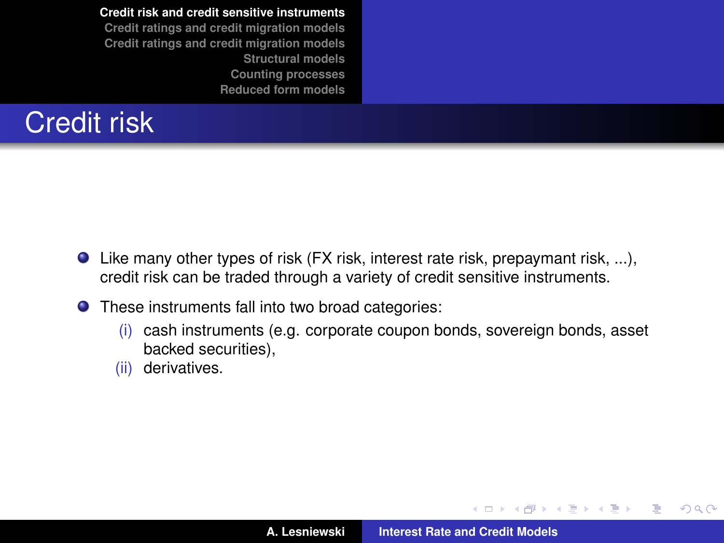# Credit risk

- $\bullet$  Like many other types of risk (FX risk, interest rate risk, prepaymant risk, ...), credit risk can be traded through a variety of credit sensitive instruments.
- These instruments fall into two broad categories:
	- (i) cash instruments (e.g. corporate coupon bonds, sovereign bonds, asset backed securities),
	- (ii) derivatives.

K ロ ▶ K 御 ▶ K 唐 ▶ K 唐 ▶

 $299$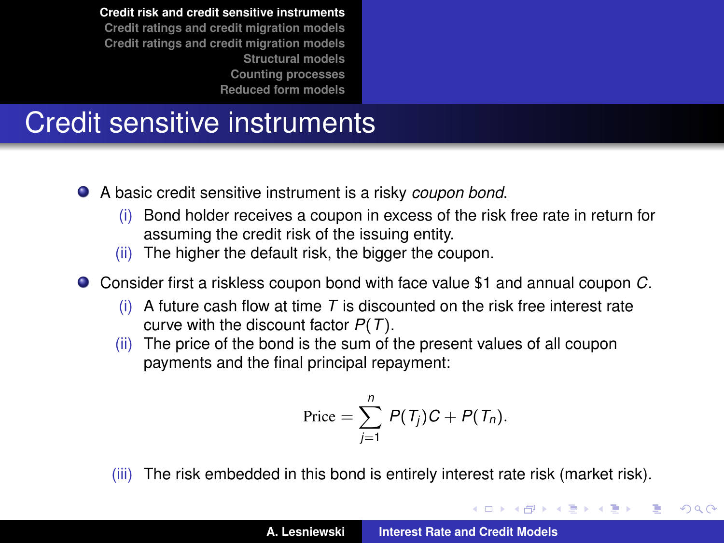# Credit sensitive instruments

- A basic credit sensitive instrument is a risky *coupon bond*.
	- (i) Bond holder receives a coupon in excess of the risk free rate in return for assuming the credit risk of the issuing entity.
	- (ii) The higher the default risk, the bigger the coupon.
- Consider first a riskless coupon bond with face value \$1 and annual coupon *C*.
	- (i) A future cash flow at time *T* is discounted on the risk free interest rate curve with the discount factor *P*(*T*).
	- (ii) The price of the bond is the sum of the present values of all coupon payments and the final principal repayment:

$$
Price = \sum_{j=1}^{n} P(T_j)C + P(T_n).
$$

(iii) The risk embedded in this bond is entirely interest rate risk (market risk).

(ロ) (個) (目) (目)

 $QQ$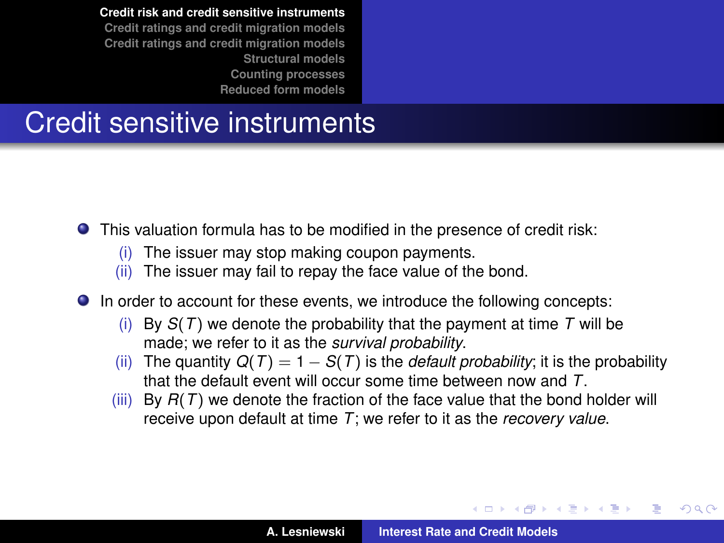## Credit sensitive instruments

This valuation formula has to be modified in the presence of credit risk:

- (i) The issuer may stop making coupon payments.
- (ii) The issuer may fail to repay the face value of the bond.
- In order to account for these events, we introduce the following concepts:
	- (i) By *S*(*T*) we denote the probability that the payment at time *T* will be made; we refer to it as the *survival probability*.
	- (ii) The quantity  $Q(T) = 1 S(T)$  is the *default probability*; it is the probability that the default event will occur some time between now and *T*.
	- (iii) By  $R(T)$  we denote the fraction of the face value that the bond holder will receive upon default at time *T*; we refer to it as the *recovery value*.

(ロトス個) (運) (運)

 $QQ$ 

Ξ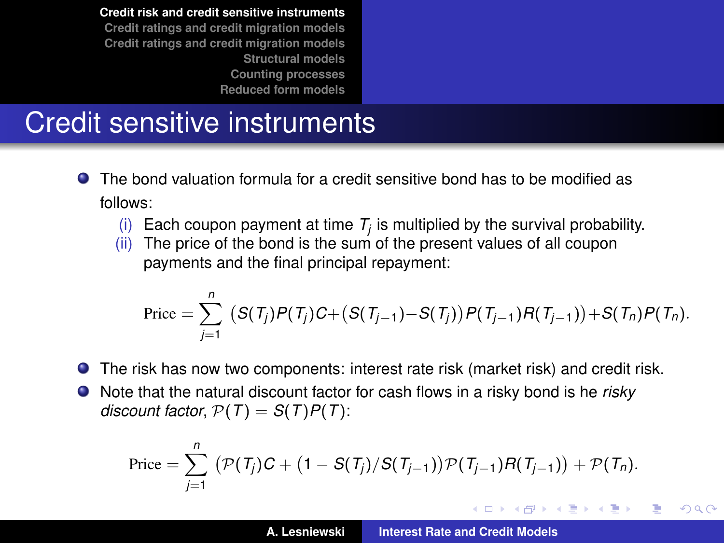# Credit sensitive instruments

- The bond valuation formula for a credit sensitive bond has to be modified as . follows:
	- (i) Each coupon payment at time  $T_j$  is multiplied by the survival probability.
	- (ii) The price of the bond is the sum of the present values of all coupon payments and the final principal repayment:

$$
\text{Price} = \sum_{j=1}^{n} (S(T_j)P(T_j)C + (S(T_{j-1})-S(T_j))P(T_{j-1})R(T_{j-1})) + S(T_n)P(T_n).
$$

- The risk has now two components: interest rate risk (market risk) and credit risk.
- Note that the natural discount factor for cash flows in a risky bond is he *risky discount factor,*  $P(T) = S(T)P(T)$ :

$$
Price = \sum_{j=1}^{n} (P(T_j)C + (1 - S(T_j)/S(T_{j-1}))P(T_{j-1})R(T_{j-1})) + P(T_n).
$$

イロメ イ部メ イ君メ イ君メー

Þ

 $QQ$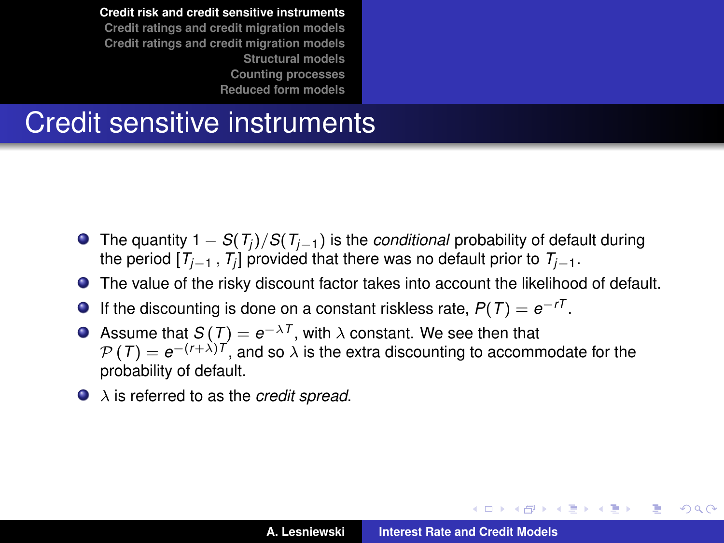#### Credit sensitive instruments

- The quantity 1 − *S*(*T<sup>j</sup>* )/*S*(*Tj*−1) is the *conditional* probability of default during the period [*Tj*−<sup>1</sup> , *T<sup>j</sup>* ] provided that there was no default prior to *Tj*−1.
- The value of the risky discount factor takes into account the likelihood of default.
- If the discounting is done on a constant riskless rate,  $P(T) = e^{-rT}$ .  $\bullet$
- Assume that  $S(T) = e^{-\lambda T}$ , with  $\lambda$  constant. We see then that P (*T*) = *e*−(*r*+λ)*<sup>T</sup>* , and so λ is the extra discounting to accommodate for the probability of default.
- λ is referred to as the *credit spread*.

イロメ イ部メ イヨメ イヨメー

B

 $QQ$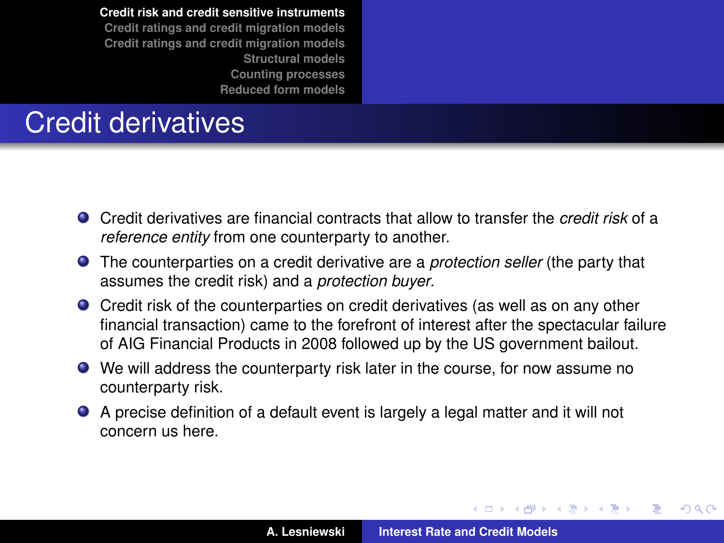# Credit derivatives

- Credit derivatives are financial contracts that allow to transfer the *credit risk* of a *reference entity* from one counterparty to another.
- The counterparties on a credit derivative are a *protection seller* (the party that assumes the credit risk) and a *protection buyer*.
- Credit risk of the counterparties on credit derivatives (as well as on any other financial transaction) came to the forefront of interest after the spectacular failure of AIG Financial Products in 2008 followed up by the US government bailout.
- We will address the counterparty risk later in the course, for now assume no counterparty risk.
- A precise definition of a default event is largely a legal matter and it will not concern us here.

(ロトス個) (運) (運)

 $QQ$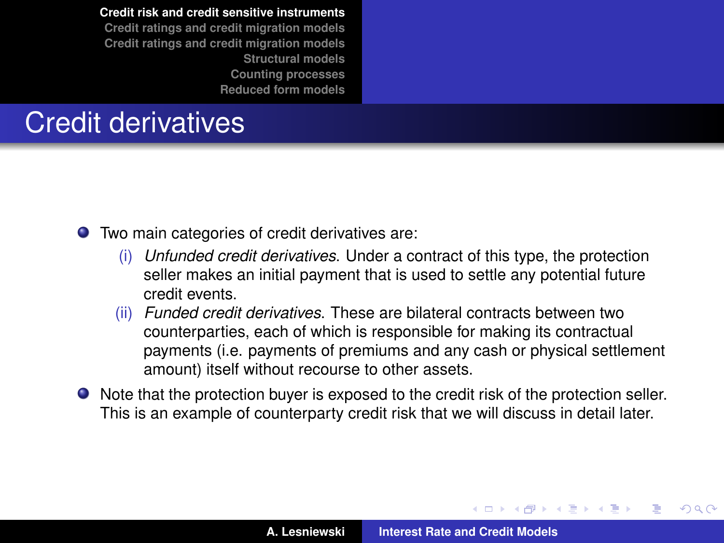# Credit derivatives

Two main categories of credit derivatives are:

- (i) *Unfunded credit derivatives*. Under a contract of this type, the protection seller makes an initial payment that is used to settle any potential future credit events.
- (ii) *Funded credit derivatives*. These are bilateral contracts between two counterparties, each of which is responsible for making its contractual payments (i.e. payments of premiums and any cash or physical settlement amount) itself without recourse to other assets.
- Note that the protection buyer is exposed to the credit risk of the protection seller. This is an example of counterparty credit risk that we will discuss in detail later.

(ロ) (個) (目) (目)

 $QQ$ 

∍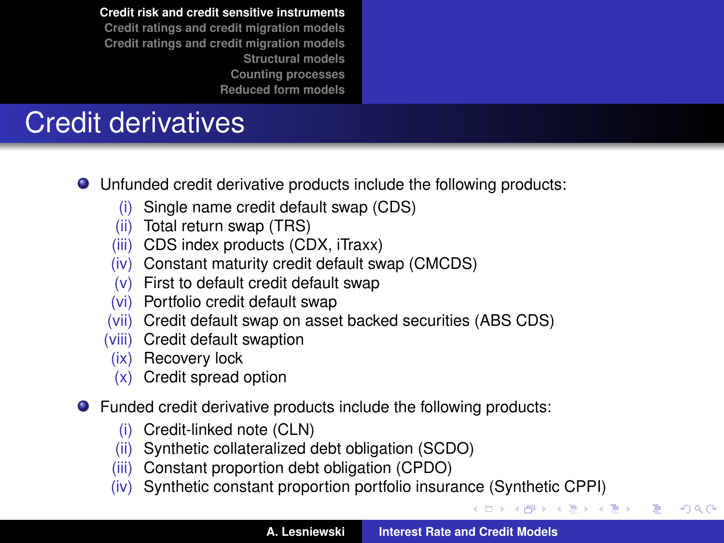# Credit derivatives

- Unfunded credit derivative products include the following products:
	- (i) Single name credit default swap (CDS)
	- (ii) Total return swap (TRS)
	- (iii) CDS index products (CDX, iTraxx)
	- (iv) Constant maturity credit default swap (CMCDS)
	- (v) First to default credit default swap
	- (vi) Portfolio credit default swap
	- (vii) Credit default swap on asset backed securities (ABS CDS)
	- (viii) Credit default swaption
	- (ix) Recovery lock
	- (x) Credit spread option
- Funded credit derivative products include the following products:
	- (i) Credit-linked note (CLN)
	- (ii) Synthetic collateralized debt obligation (SCDO)
	- (iii) Constant proportion debt obligation (CPDO)
	- (iv) Synthetic constant proportion portfolio insurance (Synthetic CPPI)

K 御 と K 唐 と K 唐 と…

÷.  $298$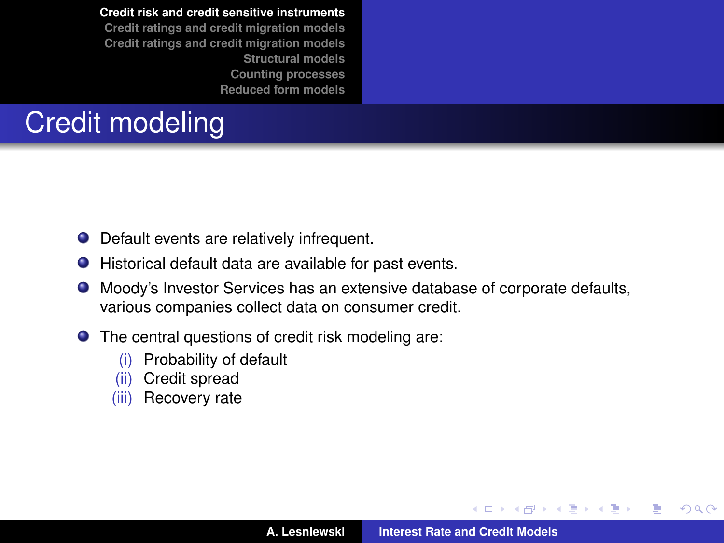# Credit modeling

- Default events are relatively infrequent.
- Historical default data are available for past events.
- Moody's Investor Services has an extensive database of corporate defaults, various companies collect data on consumer credit.
- The central questions of credit risk modeling are:
	- (i) Probability of default
	- (ii) Credit spread
	- (iii) Recovery rate

**A. Lesniewski [Interest Rate and Credit Models](#page-0-0)**

(ロトス個) (運) (運)

Þ

 $298$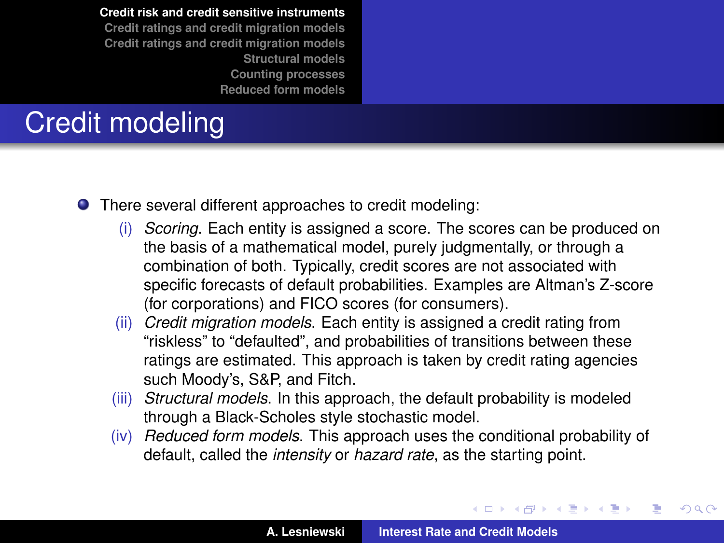# Credit modeling

- There several different approaches to credit modeling:
	- (i) *Scoring*. Each entity is assigned a score. The scores can be produced on the basis of a mathematical model, purely judgmentally, or through a combination of both. Typically, credit scores are not associated with specific forecasts of default probabilities. Examples are Altman's Z-score (for corporations) and FICO scores (for consumers).
	- (ii) *Credit migration models*. Each entity is assigned a credit rating from "riskless" to "defaulted", and probabilities of transitions between these ratings are estimated. This approach is taken by credit rating agencies such Moody's, S&P, and Fitch.
	- (iii) *Structural models*. In this approach, the default probability is modeled through a Black-Scholes style stochastic model.
	- (iv) *Reduced form models*. This approach uses the conditional probability of default, called the *intensity* or *hazard rate*, as the starting point.

(ロ) (個) (目) (言)

 $QQ$ 

Ξ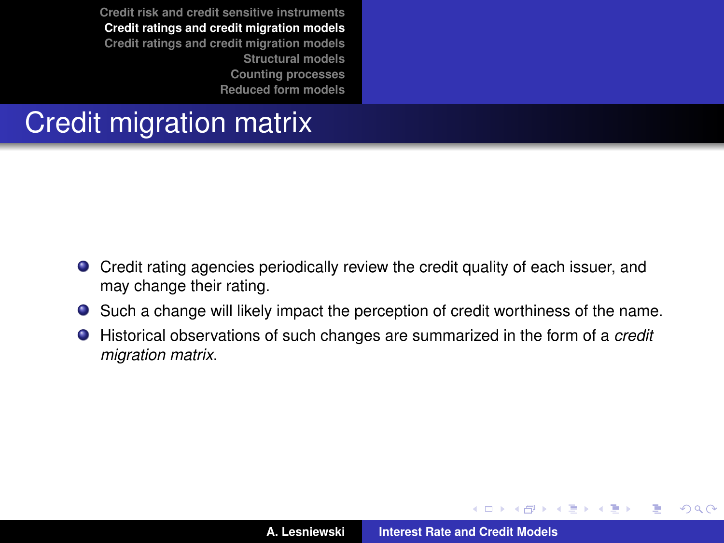# <span id="page-13-0"></span>Credit migration matrix

- Credit rating agencies periodically review the credit quality of each issuer, and may change their rating.
- Such a change will likely impact the perception of credit worthiness of the name.
- Historical observations of such changes are summarized in the form of a *credit migration matrix*.

(ロトス個) (運) (運)

 $299$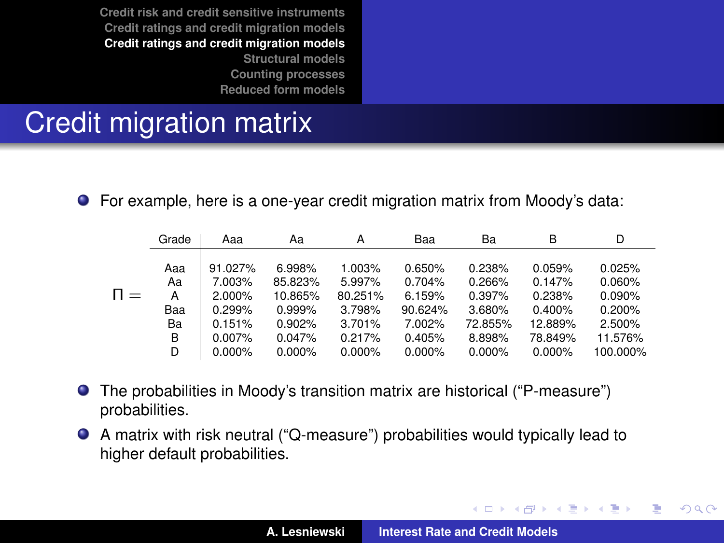### <span id="page-14-0"></span>Credit migration matrix

For example, here is a one-year credit migration matrix from Moody's data:

|        | Grade          | Ааа                         | Aa                           | A                           | Baa                        | Ba                         | B                          | D                          |
|--------|----------------|-----------------------------|------------------------------|-----------------------------|----------------------------|----------------------------|----------------------------|----------------------------|
| $\Box$ | Aaa<br>Aa<br>А | 91.027%<br>7.003%<br>2.000% | 6.998%<br>85.823%<br>10.865% | 1.003%<br>5.997%<br>80.251% | 0.650%<br>0.704%<br>6.159% | 0.238%<br>0.266%<br>0.397% | 0.059%<br>0.147%<br>0.238% | 0.025%<br>0.060%<br>0.090% |
|        | Baa            | 0.299%                      | 0.999%                       | 3.798%                      | 90.624%                    | 3.680%                     | 0.400%                     | 0.200%                     |
|        | Ba             | 0.151%                      | 0.902%                       | 3.701%                      | 7.002%                     | 72.855%                    | 12.889%                    | 2.500%                     |
|        | B              | $0.007\%$                   | 0.047%                       | 0.217%                      | 0.405%                     | 8.898%                     | 78.849%                    | 11.576%                    |
|        | D              | 0.000%                      | $0.000\%$                    | 0.000%                      | 0.000%                     | 0.000%                     | 0.000%                     | 100.000%                   |

- The probabilities in Moody's transition matrix are historical ("P-measure")  $\bullet$ probabilities.
- A matrix with risk neutral ("Q-measure") probabilities would typically lead to higher default probabilities.

イロメ イ部メ イ君メ イ君メー

 $299$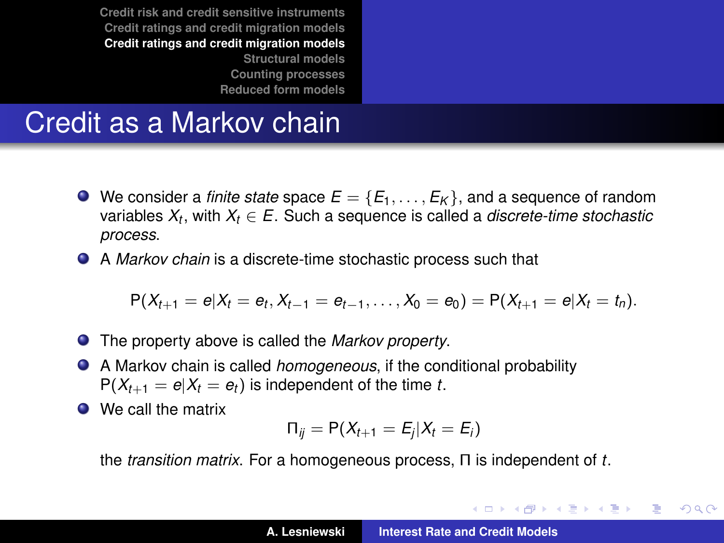#### Credit as a Markov chain

- $\bullet$  We consider a *finite state* space  $E = \{E_1, \ldots, E_k\}$ , and a sequence of random variables *X<sup>t</sup>* , with *X<sup>t</sup>* ∈ *E*. Such a sequence is called a *discrete-time stochastic process*.
- A *Markov chain* is a discrete-time stochastic process such that

$$
P(X_{t+1}=e|X_t=e_t,X_{t-1}=e_{t-1},\ldots,X_0=e_0)=P(X_{t+1}=e|X_t=t_n).
$$

- The property above is called the *Markov property*.
- A Markov chain is called *homogeneous*, if the conditional probability  $P(X_{t+1} = e | X_t = e_t)$  is independent of the time *t*.
- We call the matrix

$$
\Pi_{ij} = \mathsf{P}(X_{t+1} = E_j | X_t = E_i)
$$

the *transition matrix*. For a homogeneous process, Π is independent of *t*.

イロメ イ部メ イヨメ イヨメー

Þ

 $298$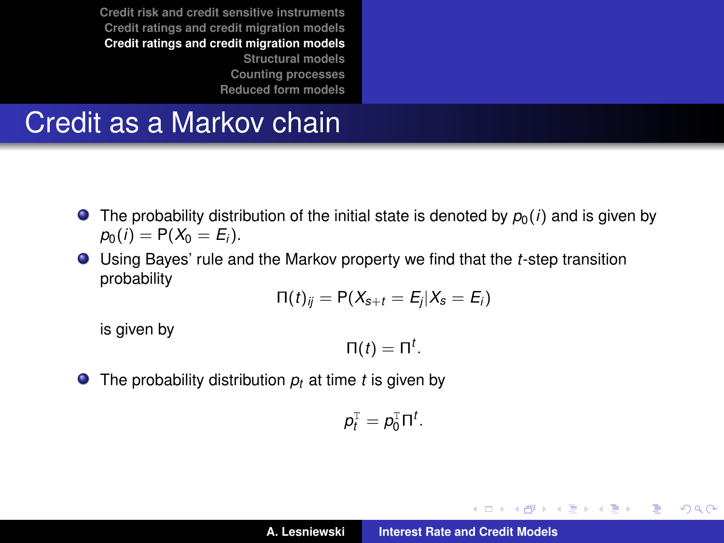#### Credit as a Markov chain

- **•** The probability distribution of the initial state is denoted by  $p_0(i)$  and is given by  $p_0(i) = P(X_0 = E_i).$
- Using Bayes' rule and the Markov property we find that the *t*-step transition probability

$$
\Pi(t)_{ij} = P(X_{s+t} = E_j | X_s = E_i)
$$

is given by

 $Π(t) = Π<sup>t</sup>$ .

 $\bullet$  The probability distribution  $p_t$  at time *t* is given by

$$
p_t^{\mathrm{T}}=p_0^{\mathrm{T}}\Pi^t.
$$

イロメ イ団メ イヨメ イヨメー

 $2Q$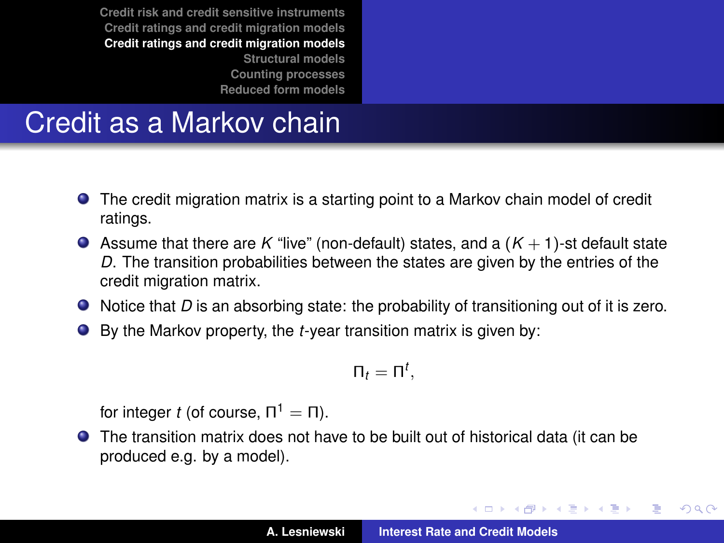### Credit as a Markov chain

- The credit migration matrix is a starting point to a Markov chain model of credit ratings.
- Assume that there are K "live" (non-default) states, and a  $(K + 1)$ -st default state *D*. The transition probabilities between the states are given by the entries of the credit migration matrix.
- $\bullet$  Notice that *D* is an absorbing state: the probability of transitioning out of it is zero.
- By the Markov property, the *t*-year transition matrix is given by:

$$
\Pi_t=\Pi^t,
$$

for integer *t* (of course,  $\Pi^1 = \Pi$ ).

The transition matrix does not have to be built out of historical data (it can be produced e.g. by a model).

イロメ イ部メ イヨメ イヨメー

重

 $QQ$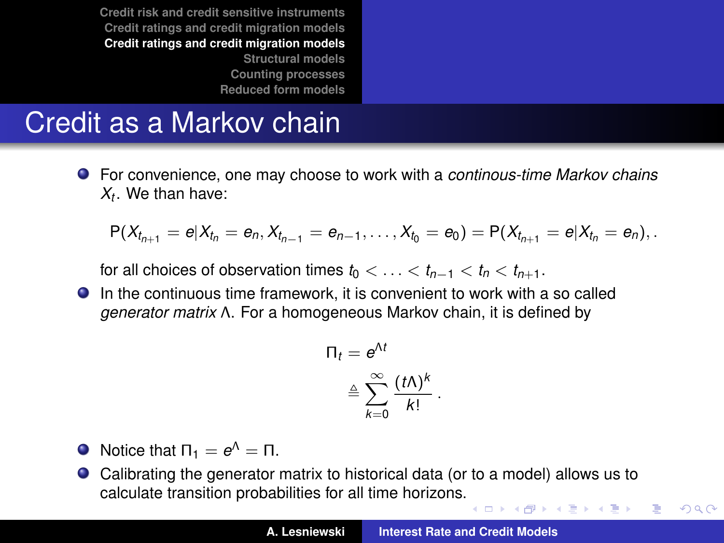# Credit as a Markov chain

For convenience, one may choose to work with a *continous-time Markov chains Xt* . We than have:

$$
P(X_{t_{n+1}} = e | X_{t_n} = e_n, X_{t_{n-1}} = e_{n-1}, \ldots, X_{t_0} = e_0) = P(X_{t_{n+1}} = e | X_{t_n} = e_n),
$$

for all choices of observation times  $t_0 < \ldots < t_{n-1} < t_n < t_{n+1}$ .

In the continuous time framework, it is convenient to work with a so called *generator matrix* Λ. For a homogeneous Markov chain, it is defined by

$$
\begin{aligned} \Pi_t &= e^{\Lambda t} \\ &\triangleq \sum_{k=0}^{\infty} \frac{(t \Lambda)^k}{k!} \, . \end{aligned}
$$

- Notice that  $\Pi_1 = e^{\Lambda} = \Pi$ .
- Calibrating the generator matrix to historical data (or to a model) allows us to calculate transition probabilities for all time horizons. イロメ イ団メ イヨメ イヨメー

÷,

 $QQ$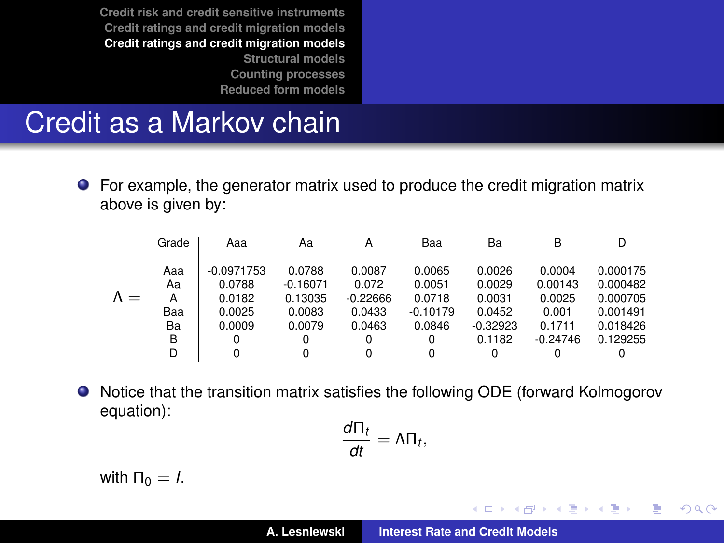#### Credit as a Markov chain

For example, the generator matrix used to produce the credit migration matrix above is given by:

|             | Grade          | Aaa                              | Aa                              | A                             | Baa                        | Ba                         | B                           | D                                |
|-------------|----------------|----------------------------------|---------------------------------|-------------------------------|----------------------------|----------------------------|-----------------------------|----------------------------------|
| $\Lambda =$ | Aaa<br>Aa<br>А | $-0.0971753$<br>0.0788<br>0.0182 | 0.0788<br>$-0.16071$<br>0.13035 | 0.0087<br>0.072<br>$-0.22666$ | 0.0065<br>0.0051<br>0.0718 | 0.0026<br>0.0029<br>0.0031 | 0.0004<br>0.00143<br>0.0025 | 0.000175<br>0.000482<br>0.000705 |
|             | Baa            | 0.0025                           | 0.0083                          | 0.0433                        | $-0.10179$                 | 0.0452                     | 0.001                       | 0.001491                         |
|             | Ba             | 0.0009                           | 0.0079                          | 0.0463                        | 0.0846                     | $-0.32923$                 | 0.1711                      | 0.018426                         |
|             | B              | 0                                | 0                               | 0                             | 0                          | 0.1182                     | $-0.24746$                  | 0.129255                         |
|             | D              | 0                                | 0                               | $\Omega$                      | 0                          | 0                          | 0                           | 0                                |

 $\bullet$ Notice that the transition matrix satisfies the following ODE (forward Kolmogorov equation):

$$
\frac{d\Pi_t}{dt}=\Lambda\Pi_t,
$$

with  $Π<sub>0</sub> = *I*$ .

イロメ イ部メ イヨメ イヨメー

 $2Q$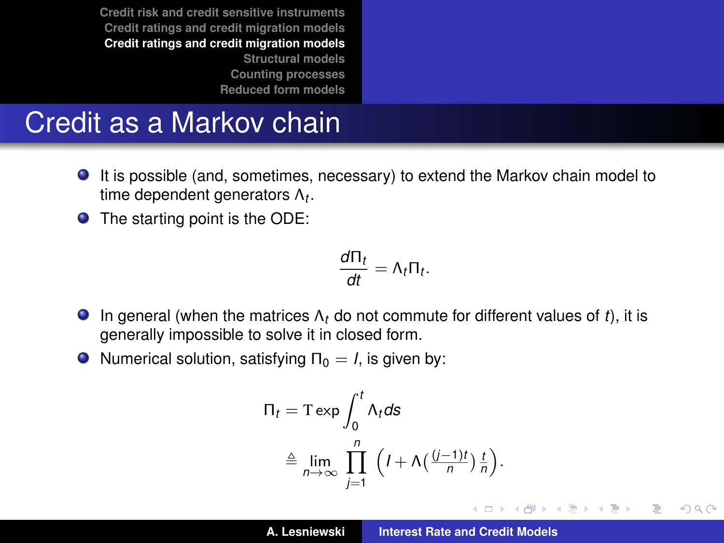#### <span id="page-20-0"></span>Credit as a Markov chain

- It is possible (and, sometimes, necessary) to extend the Markov chain model to time dependent generators Λ*<sup>t</sup>* .
- The starting point is the ODE:

$$
\frac{d\Pi_t}{dt}=\Lambda_t\Pi_t.
$$

- **In general (when the matrices**  $\Lambda_t$  **do not commute for different values of** *t***), it is** generally impossible to solve it in closed form.
- $\bullet$  Numerical solution, satisfying  $\Pi_0 = I$ , is given by:

$$
\begin{aligned} \n\Pi_t &= \text{T} \exp \int_0^t \Lambda_t \, \text{d}s \\ \n&\triangleq \lim_{n \to \infty} \prod_{j=1}^n \left( I + \Lambda \left( \frac{(j-1)t}{n} \right) \frac{t}{n} \right). \n\end{aligned}
$$

イロメ イ部メ イ君メ イ君メー

重  $2Q$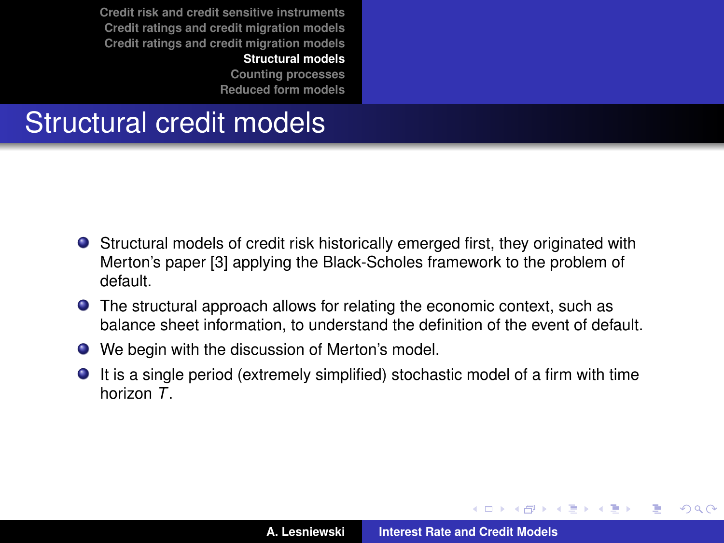**[Structural models](#page-21-0)**

**[Counting processes](#page-40-0) [Reduced form models](#page-54-0)**

# <span id="page-21-0"></span>Structural credit models

- Structural models of credit risk historically emerged first, they originated with Merton's paper [\[3\]](#page-61-1) applying the Black-Scholes framework to the problem of default.
- **•** The structural approach allows for relating the economic context, such as balance sheet information, to understand the definition of the event of default.
- We begin with the discussion of Merton's model.
- It is a single period (extremely simplified) stochastic model of a firm with time horizon *T*.

イロメ イ部メ イ君メ イ君メー

Þ

 $QQ$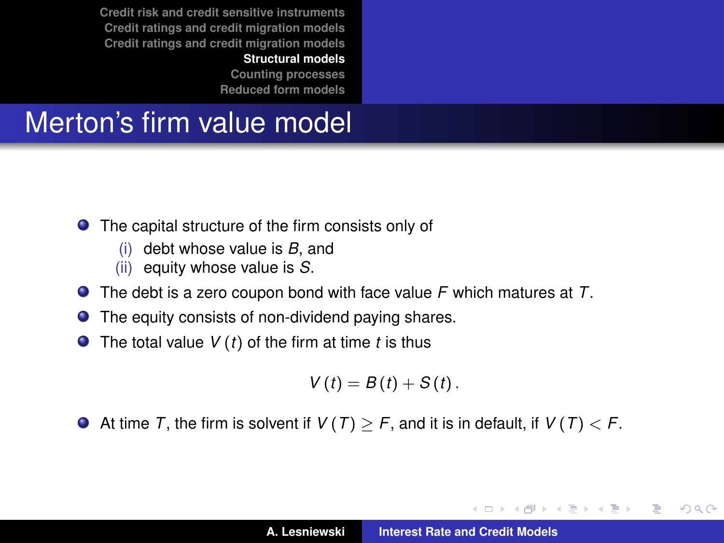**[Structural models](#page-21-0)**

**[Counting processes](#page-40-0) [Reduced form models](#page-54-0)**

# <span id="page-22-0"></span>Merton's firm value model

- The capital structure of the firm consists only of
	- (i) debt whose value is *B*, and
	- (ii) equity whose value is *S*.
- The debt is a zero coupon bond with face value *F* which matures at *T*.
- $\bullet$ The equity consists of non-dividend paying shares.
- The total value *V* (*t*) of the firm at time *t* is thus

$$
V(t) = B(t) + S(t).
$$

At time *T*, the firm is solvent if  $V(T) > F$ , and it is in default, if  $V(T) < F$ .

イロメ イ部メ イ君メ イ君メー

Þ

 $QQ$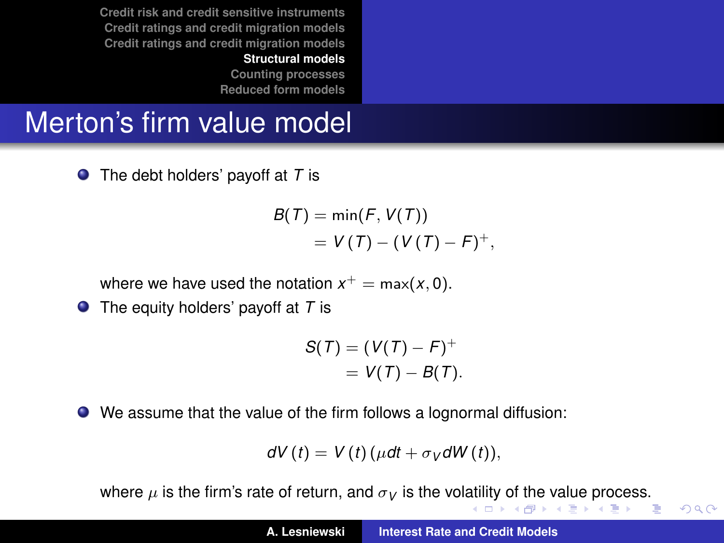**[Counting processes](#page-40-0) [Reduced form models](#page-54-0)**

# <span id="page-23-0"></span>Merton's firm value model

The debt holders' payoff at *T* is

$$
B(T) = \min(F, V(T)) \\
= V(T) - (V(T) - F)^+,
$$

where we have used the notation  $x^+=\max(x,0).$ 

● The equity holders' payoff at *T* is

$$
S(T) = (V(T) - F)^{+}
$$
  
= 
$$
V(T) - B(T).
$$

We assume that the value of the firm follows a lognormal diffusion:

$$
dV(t) = V(t) (\mu dt + \sigma_V dW(t)),
$$

wher[e](#page-40-0)  $\mu$  $\mu$  is the firm's rate [of](#page-22-0) return, and  $\sigma_V$  is the vol[atil](#page-22-0)it[y](#page-24-0) of [th](#page-23-0)e [va](#page-20-0)[l](#page-21-0)ue [pr](#page-20-0)[o](#page-21-0)[c](#page-39-0)[es](#page-40-0)[s.](#page-0-0)

 $2990$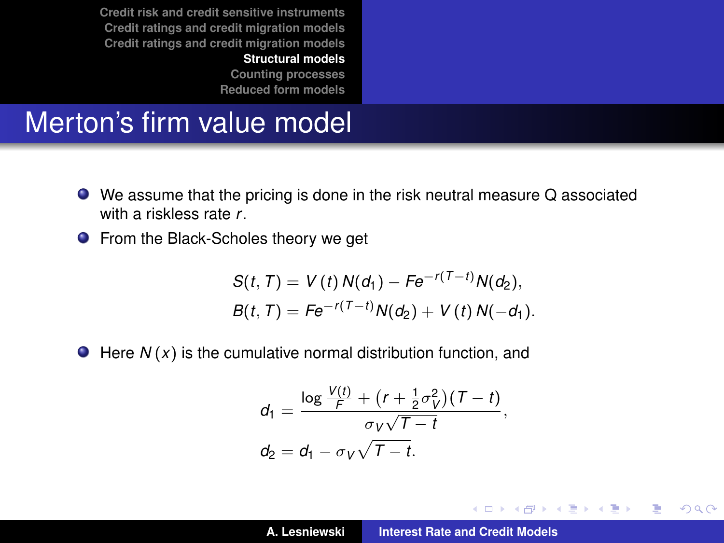**[Counting processes](#page-40-0) [Reduced form models](#page-54-0)**

#### <span id="page-24-0"></span>Merton's firm value model

- We assume that the pricing is done in the risk neutral measure Q associated with a riskless rate *r*.
- **•** From the Black-Scholes theory we get

$$
S(t, T) = V(t) N(d_1) - Fe^{-r(T-t)} N(d_2),
$$
  
\n
$$
B(t, T) = Fe^{-r(T-t)} N(d_2) + V(t) N(-d_1).
$$

 $\bullet$  Here  $N(x)$  is the cumulative normal distribution function, and

$$
d_1 = \frac{\log \frac{V(t)}{F} + (r + \frac{1}{2}\sigma_V^2)(T - t)}{\sigma_V\sqrt{T - t}},
$$
  
\n
$$
d_2 = d_1 - \sigma_V\sqrt{T - t}.
$$

イロメ イ部メ イ君メ イ君メー

 $2Q$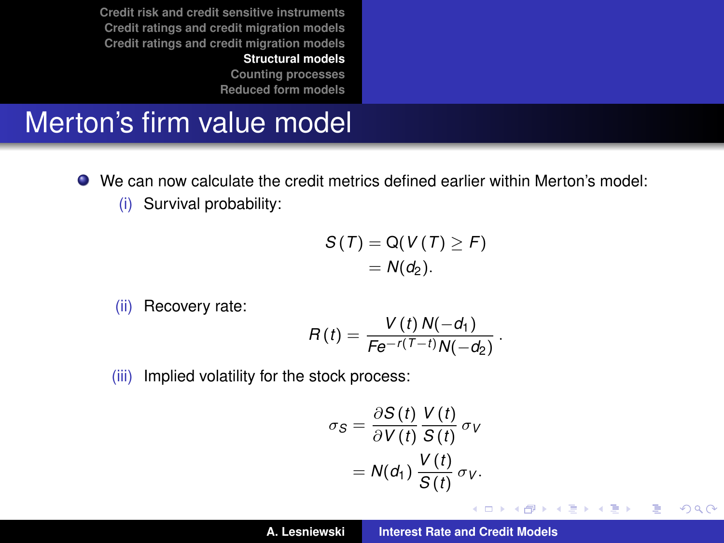**[Counting processes](#page-40-0) [Reduced form models](#page-54-0)**

### Merton's firm value model

- We can now calculate the credit metrics defined earlier within Merton's model:
	- (i) Survival probability:

$$
S(T) = Q(V(T) \geq F)
$$
  
=  $N(d_2)$ .

(ii) Recovery rate:

$$
R(t)=\frac{V(t) N(-d_1)}{Fe^{-r(T-t)}N(-d_2)}.
$$

(iii) Implied volatility for the stock process:

$$
\sigma_S = \frac{\partial S(t)}{\partial V(t)} \frac{V(t)}{S(t)} \sigma_V
$$

$$
= N(d_1) \frac{V(t)}{S(t)} \sigma_V.
$$

K ロ ▶ K 御 ▶ K 唐 ▶ K 唐 ▶ .

 $2Q$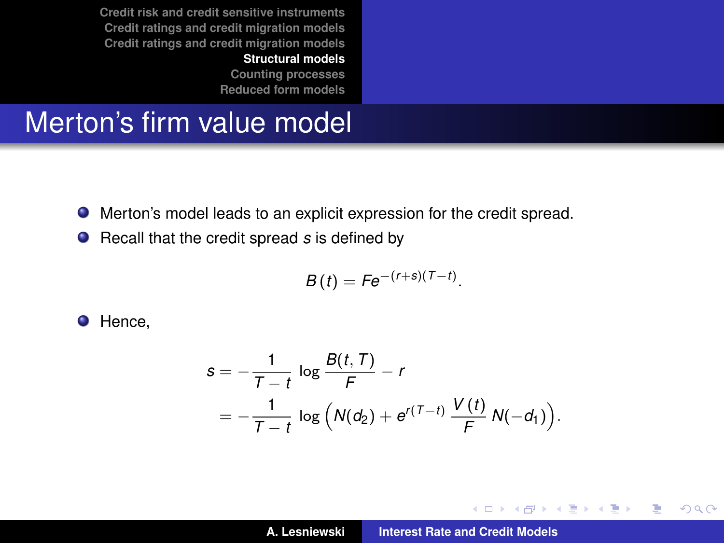> **[Counting processes](#page-40-0) [Reduced form models](#page-54-0)**

#### Merton's firm value model

- Merton's model leads to an explicit expression for the credit spread.
- Recall that the credit spread *s* is defined by

$$
B(t) = Fe^{-(r+s)(T-t)}.
$$

**O** Hence,

$$
s = -\frac{1}{T-t} \log \frac{B(t, T)}{F} - r
$$
  
= -\frac{1}{T-t} \log \left(N(d\_2) + e^{r(T-t)} \frac{V(t)}{F} N(-d\_1)\right).

K ロ ▶ K 御 ▶ K 唐 ▶ K 唐 ▶ .

 $2Q$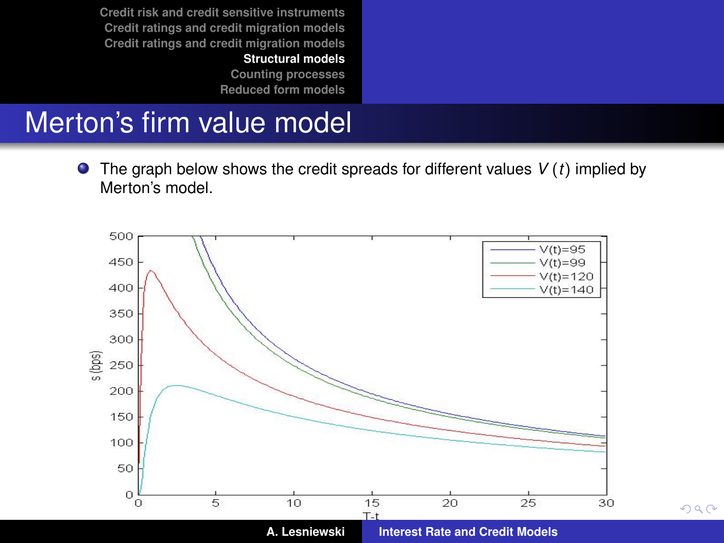> **[Counting processes](#page-40-0) [Reduced form models](#page-54-0)**

# Merton's firm value model

The graph below shows the credit spreads for different values *V* (*t*) implied by Merton's model.



 $2Q$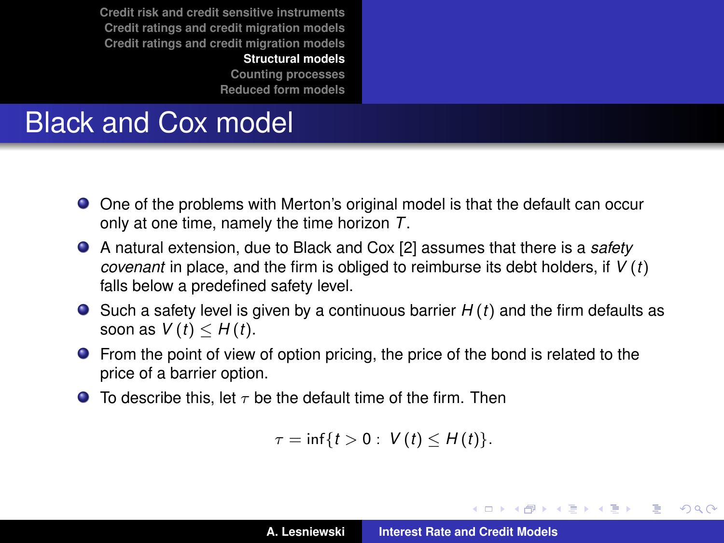**[Structural models](#page-21-0)**

**[Counting processes](#page-40-0) [Reduced form models](#page-54-0)**

# Black and Cox model

- One of the problems with Merton's original model is that the default can occur only at one time, namely the time horizon *T*.
- A natural extension, due to Black and Cox [\[2\]](#page-61-2) assumes that there is a *safety covenant* in place, and the firm is obliged to reimburse its debt holders, if *V* (*t*) falls below a predefined safety level.
- $\bullet$  Such a safety level is given by a continuous barrier  $H(t)$  and the firm defaults as soon as  $V(t) \leq H(t)$ .
- **•** From the point of view of option pricing, the price of the bond is related to the price of a barrier option.
- $\bullet$  To describe this, let  $\tau$  be the default time of the firm. Then

 $\tau = \inf\{t > 0 : V(t) \leq H(t)\}.$ 

イロメ イ団メ イヨメ イヨメー

÷.

 $298$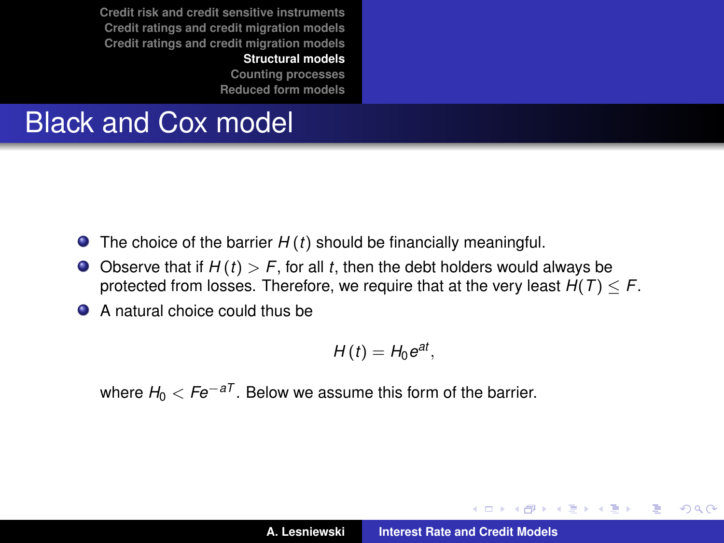**[Structural models](#page-21-0)**

**[Counting processes](#page-40-0) [Reduced form models](#page-54-0)**

# Black and Cox model

- The choice of the barrier *H* (*t*) should be financially meaningful.
- $\bullet$  Observe that if  $H(t) > F$ , for all *t*, then the debt holders would always be protected from losses. Therefore, we require that at the very least  $H(T) \leq F$ .
- A natural choice could thus be

$$
H(t)=H_0e^{at},
$$

where  $H_0 < Fe^{-aT}$ . Below we assume this form of the barrier.

イロメ イ部メ イヨメ イヨメー

Þ  $QQQ$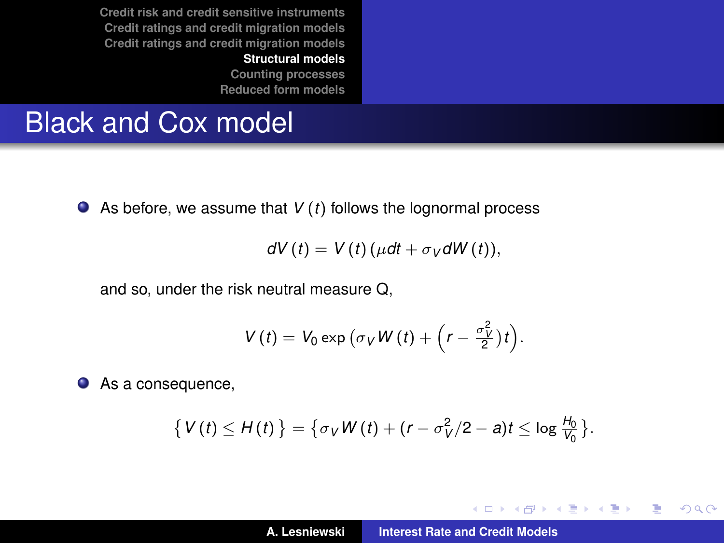> **[Counting processes](#page-40-0) [Reduced form models](#page-54-0)**

# Black and Cox model

● As before, we assume that *V* (*t*) follows the lognormal process

$$
dV(t) = V(t)(\mu dt + \sigma_V dW(t)),
$$

and so, under the risk neutral measure Q,

$$
V(t) = V_0 \exp (\sigma_V W(t) + \left(r - \frac{\sigma_V^2}{2}\right)t\right).
$$

● As a consequence,

$$
\{V(t) \leq H(t)\} = \{\sigma_V W(t) + (r - \sigma_V^2/2 - a)t \leq \log \frac{H_0}{V_0}\}.
$$

イロトメ 御 トメ ミトメ ミト

 $2Q$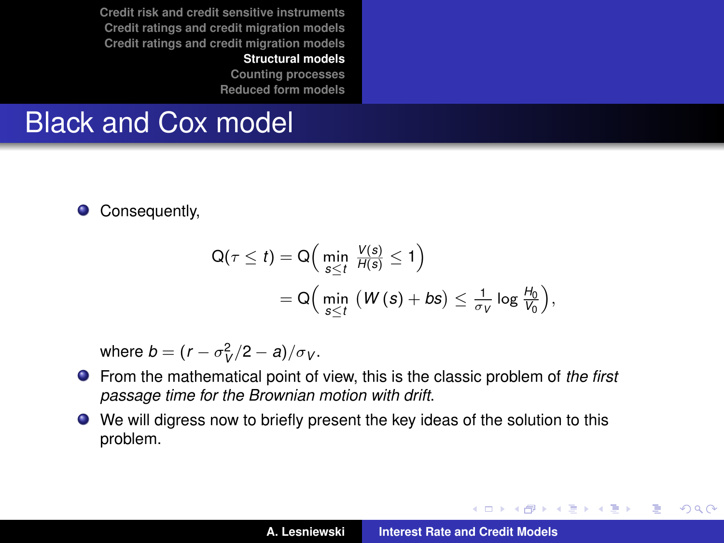#### **[Structural models](#page-21-0)**

**[Counting processes](#page-40-0) [Reduced form models](#page-54-0)**

# Black and Cox model

 $\bullet$ Consequently,

$$
Q(\tau \leq t) = Q\Big(\min_{s \leq t} \frac{V(s)}{H(s)} \leq 1\Big) = Q\Big(\min_{s \leq t} (W(s) + bs) \leq \frac{1}{\sigma_V} \log \frac{H_0}{V_0}\Big),
$$

where  $b = (r - \sigma_V^2/2 - a)/\sigma_V$ .

- From the mathematical point of view, this is the classic problem of *the first passage time for the Brownian motion with drift*.
- We will digress now to briefly present the key ideas of the solution to this problem.

イロメ イ部メ イヨメ イヨメー

 $2Q$ 

B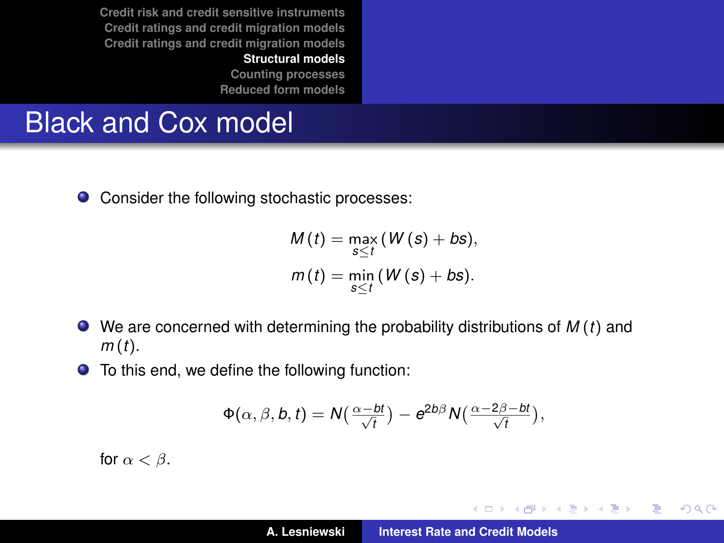> **[Counting processes](#page-40-0) [Reduced form models](#page-54-0)**

# Black and Cox model

● Consider the following stochastic processes:

$$
M(t) = \max_{s \leq t} (W(s) + bs),
$$
  

$$
m(t) = \min_{s \leq t} (W(s) + bs).
$$

- We are concerned with determining the probability distributions of *M* (*t*) and *m* (*t*).
- To this end, we define the following function:

$$
\Phi(\alpha,\beta,b,t)=N\left(\frac{\alpha-bt}{\sqrt{t}}\right)-e^{2b\beta}N\left(\frac{\alpha-2\beta-bt}{\sqrt{t}}\right),
$$

for  $\alpha < \beta$ .

イロメ イ部メ イ君メ イ君メー

 $2Q$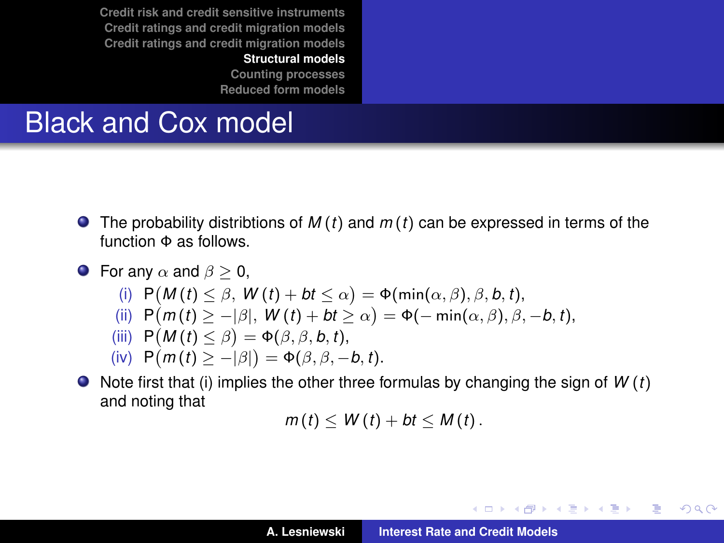**[Structural models](#page-21-0)**

**[Counting processes](#page-40-0) [Reduced form models](#page-54-0)**

# Black and Cox model

- The probability distribtions of *M* (*t*) and *m* (*t*) can be expressed in terms of the function Φ as follows.
- **•** For any  $\alpha$  and  $\beta > 0$ . (i)  $P(M(t) \leq \beta, W(t) + bt \leq \alpha) = \Phi(\min(\alpha, \beta), \beta, b, t),$ (ii)  $P(m(t) \geq -|\beta|, W(t) + bt \geq \alpha) = \Phi(-\min(\alpha, \beta), \beta, -b, t),$  $\mathsf{P}(M(t) \leq \beta) = \Phi(\beta, \beta, b, t),$  $\mathsf{P}(m(t) \geq -|\beta|) = \Phi(\beta, \beta, -b, t).$
- $\bullet$  Note first that (i) implies the other three formulas by changing the sign of *W* (*t*) and noting that

 $m(t) \le W(t) + bt \le M(t)$ .

イロト イ母 トイヨ トイヨ トーヨー

 $2Q$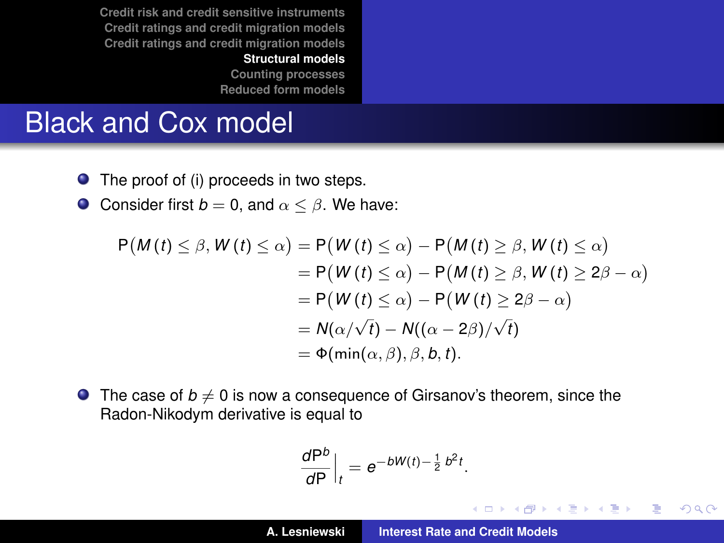> **[Counting processes](#page-40-0) [Reduced form models](#page-54-0)**

# Black and Cox model

- The proof of (i) proceeds in two steps.
- **O** Consider first  $b = 0$ , and  $\alpha \leq \beta$ . We have:

$$
P(M(t) \le \beta, W(t) \le \alpha) = P(W(t) \le \alpha) - P(M(t) \ge \beta, W(t) \le \alpha)
$$
  
= 
$$
P(W(t) \le \alpha) - P(M(t) \ge \beta, W(t) \ge 2\beta - \alpha)
$$
  
= 
$$
P(W(t) \le \alpha) - P(W(t) \ge 2\beta - \alpha)
$$
  
= 
$$
N(\alpha/\sqrt{t}) - N((\alpha - 2\beta)/\sqrt{t})
$$
  
= 
$$
\Phi(\min(\alpha, \beta), \beta, b, t).
$$

**•** The case of  $b \neq 0$  is now a consequence of Girsanov's theorem, since the Radon-Nikodym derivative is equal to

$$
\left. \frac{d\mathsf{P}^b}{d\mathsf{P}} \right|_t = e^{-bW(t)-\frac{1}{2}b^2t}.
$$

イロメ イ部メ イ君メ イ君メー

 $2Q$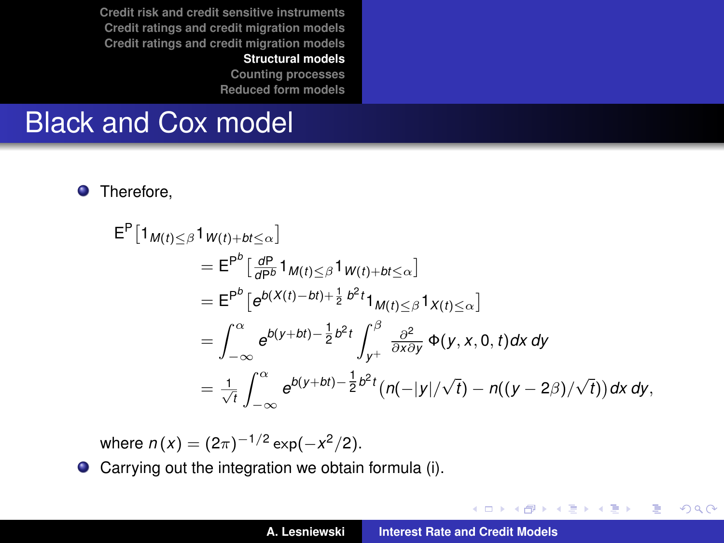#### **[Structural models](#page-21-0)**

**[Counting processes](#page-40-0) [Reduced form models](#page-54-0)**

# Black and Cox model

**O** Therefore,

$$
E^{P}[1_{M(t)\leq\beta}1_{W(t)+bt\leq\alpha}]
$$
\n
$$
= E^{P^{b}}[\frac{d^{P}}{dP^{b}}1_{M(t)\leq\beta}1_{W(t)+bt\leq\alpha}]
$$
\n
$$
= E^{P^{b}}[e^{b(X(t)-bt)+\frac{1}{2}b^{2}t}1_{M(t)\leq\beta}1_{X(t)\leq\alpha}]
$$
\n
$$
= \int_{-\infty}^{\alpha} e^{b(y+bt)-\frac{1}{2}b^{2}t} \int_{y^{+}}^{\beta} \frac{\partial^{2}}{\partial x\partial y} \Phi(y,x,0,t)dx dy
$$
\n
$$
= \frac{1}{\sqrt{t}} \int_{-\infty}^{\alpha} e^{b(y+bt)-\frac{1}{2}b^{2}t} (n(-|y|/\sqrt{t}) - n((y-2\beta)/\sqrt{t})) dx dy,
$$

where  $n(x) = (2\pi)^{-1/2} \exp(-x^2/2)$ .

● Carrying out the integration we obtain formula (i).

イロメ イ部メ イ君メ イ君メー

 $2Q$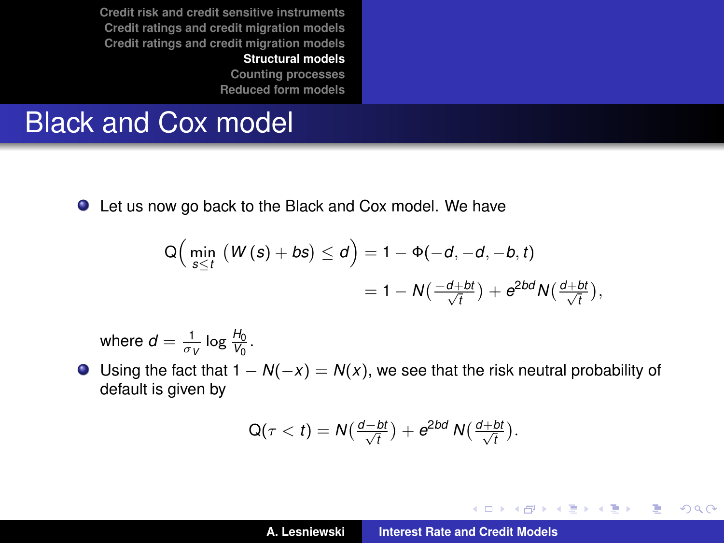> **[Counting processes](#page-40-0) [Reduced form models](#page-54-0)**

# Black and Cox model

● Let us now go back to the Black and Cox model. We have

$$
Q\Big(\min_{s\leq t} \left(W(s) + bs\right) \leq d\Big) = 1 - \Phi(-d, -d, -b, t)
$$
  
= 1 - N\left(\frac{-d+bt}{\sqrt{t}}\right) + e^{2bd}N\left(\frac{d+bt}{\sqrt{t}}\right),

where  $d = \frac{1}{\sigma_V} \log \frac{H_0}{V_0}$ .

 $\bullet$  Using the fact that  $1 - N(-x) = N(x)$ , we see that the risk neutral probability of default is given by

$$
Q(\tau < t) = N\left(\frac{d-bt}{\sqrt{t}}\right) + e^{2bd} N\left(\frac{d+bt}{\sqrt{t}}\right).
$$

イロメ イ部メ イ君メ イ君メー

 $2Q$ 重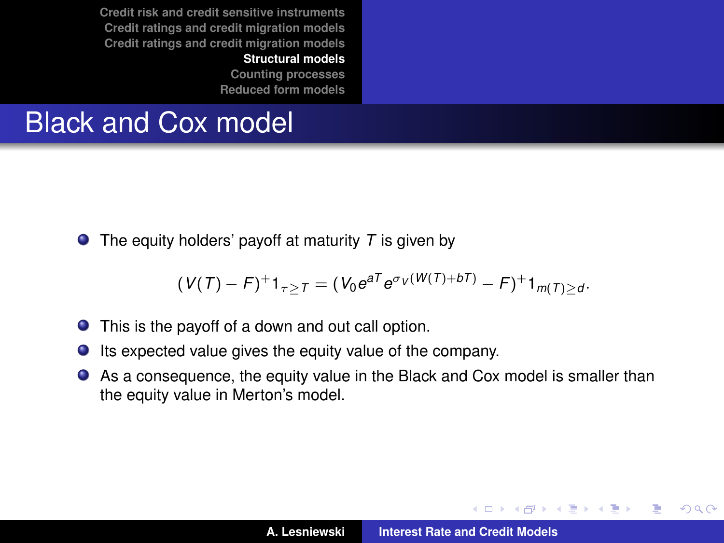**[Structural models](#page-21-0)**

**[Counting processes](#page-40-0) [Reduced form models](#page-54-0)**

# Black and Cox model

 $\bullet$  The equity holders' payoff at maturity *T* is given by

$$
(V(T) - F)^{+}1_{\tau \geq T} = (V_0 e^{aT} e^{\sigma_V(W(T) + bT)} - F)^{+}1_{m(T) \geq d}.
$$

- This is the payoff of a down and out call option.
- $\bullet$  Its expected value gives the equity value of the company.
- As a consequence, the equity value in the Black and Cox model is smaller than the equity value in Merton's model.

K ロ ▶ K 御 ▶ K 唐 ▶ K 唐 ▶

Þ  $2Q$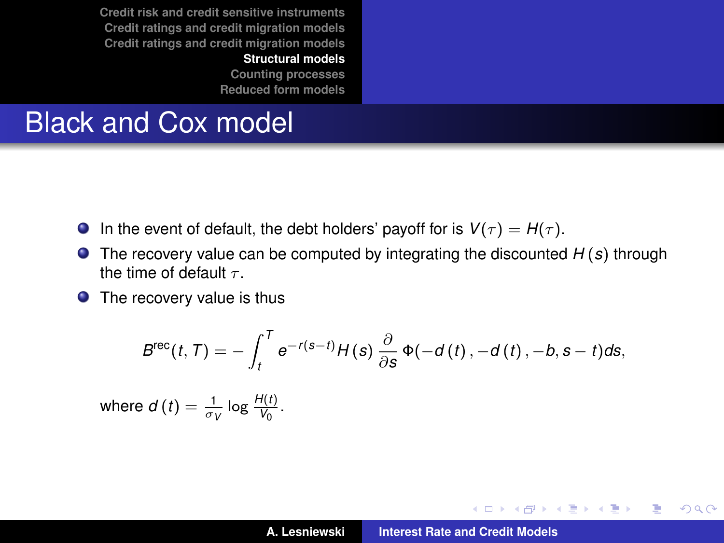**[Structural models](#page-21-0)**

**[Counting processes](#page-40-0) [Reduced form models](#page-54-0)**

# Black and Cox model

- In the event of default, the debt holders' payoff for is  $V(\tau) = H(\tau)$ .  $\bullet$
- $\bullet$ The recovery value can be computed by integrating the discounted *H* (*s*) through the time of default  $\tau$ .
- The recovery value is thus

$$
B^{\text{rec}}(t,T)=-\int_{t}^{T}e^{-r(s-t)}H(s)\frac{\partial}{\partial s}\Phi(-d(t),-d(t),-b,s-t)ds,
$$

where  $d(t) = \frac{1}{\sigma_V} \log \frac{H(t)}{V_0}$ .

イロメ イ部メ イヨメ イヨメー

重  $2Q$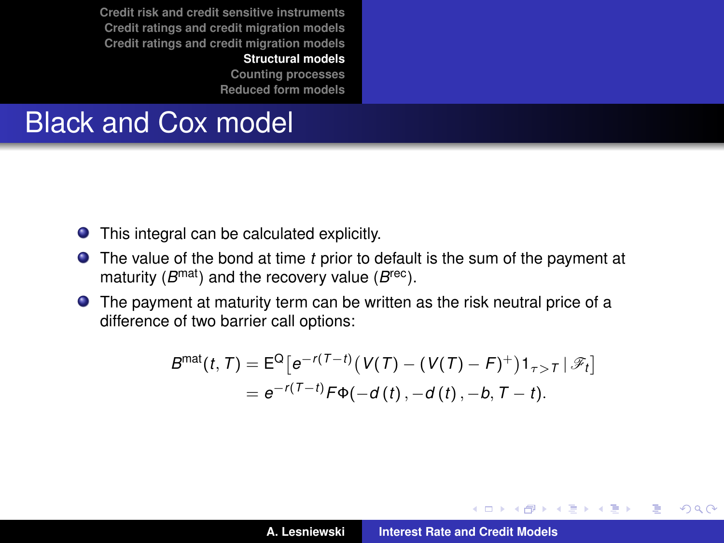#### **[Structural models](#page-21-0)**

**[Counting processes](#page-40-0) [Reduced form models](#page-54-0)**

# <span id="page-39-0"></span>Black and Cox model

- This integral can be calculated explicitly.
- The value of the bond at time *t* prior to default is the sum of the payment at maturity (*B*<sup>mat</sup>) and the recovery value (*B*<sup>rec</sup>).
- The payment at maturity term can be written as the risk neutral price of a difference of two barrier call options:

$$
B^{\text{mat}}(t, T) = E^{\text{Q}} \left[ e^{-r(T-t)} \left( V(T) - (V(T) - F)^{+} \right) 1_{\tau > T} \, | \, \mathcal{F}_t \right]
$$
\n
$$
= e^{-r(T-t)} F \Phi(-d(t), -d(t), -b, T-t).
$$

イロメ イ部メ イ君メ イ君メー

 $2Q$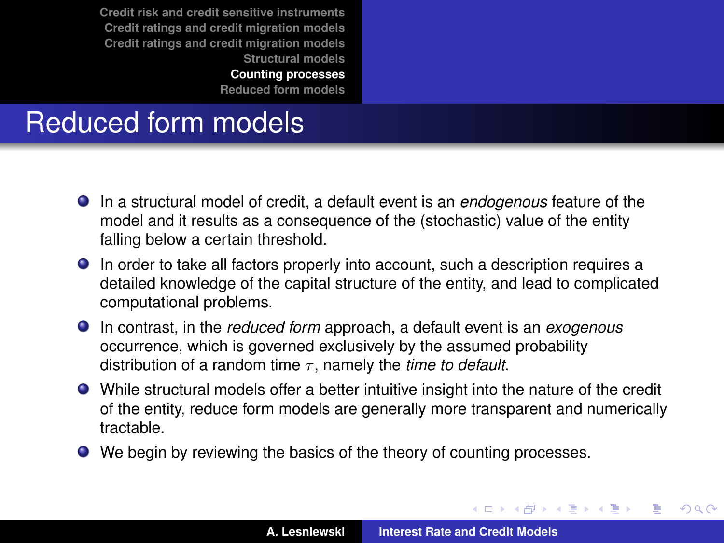**[Counting processes](#page-40-0)**

**[Reduced form models](#page-54-0)**

# <span id="page-40-0"></span>Reduced form models

- In a structural model of credit, a default event is an *endogenous* feature of the model and it results as a consequence of the (stochastic) value of the entity falling below a certain threshold.
- In order to take all factors properly into account, such a description requires a detailed knowledge of the capital structure of the entity, and lead to complicated computational problems.
- In contrast, in the *reduced form* approach, a default event is an *exogenous* occurrence, which is governed exclusively by the assumed probability distribution of a random time  $\tau$ , namely the *time to default*.
- While structural models offer a better intuitive insight into the nature of the credit of the entity, reduce form models are generally more transparent and numerically tractable.
- We begin by reviewing the basics of the theory of counting processes.

(ロトス個) (運) (運)

 $QQ$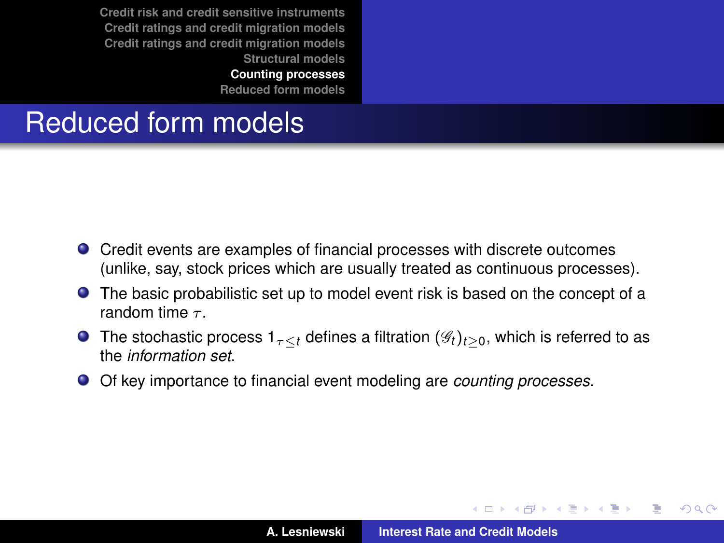**[Counting processes](#page-40-0)**

**[Reduced form models](#page-54-0)**

# Reduced form models

- Credit events are examples of financial processes with discrete outcomes (unlike, say, stock prices which are usually treated as continuous processes).
- The basic probabilistic set up to model event risk is based on the concept of a random time  $\tau$
- **O** The stochastic process  $1_{\tau \leq t}$  defines a filtration  $(\mathscr{G}_t)_{t>0}$ , which is referred to as the *information set*.
- Of key importance to financial event modeling are *counting processes*.

イロメ イ部メ イ君メ イ君メー

 $QQ$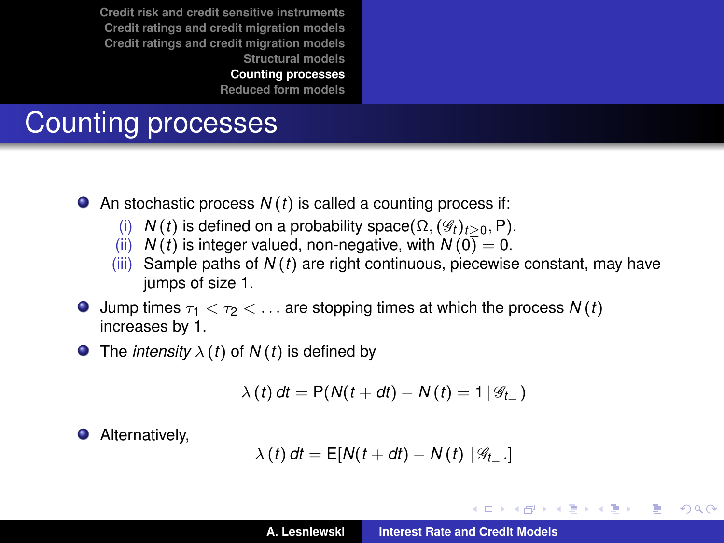**[Counting processes](#page-40-0)**

**[Reduced form models](#page-54-0)**

# Counting processes

- An stochastic process *N* (*t*) is called a counting process if:
	- (i) *N*(*t*) is defined on a probability space( $\Omega$ , ( $\mathscr{G}_t$ )<sub>*t*>0</sub>, P).
	- (ii) *N* (*t*) is integer valued, non-negative, with  $N(0) = 0$ .
	- (iii) Sample paths of *N* (*t*) are right continuous, piecewise constant, may have jumps of size 1.
- $\bullet$  Jump times  $\tau_1 < \tau_2 < \ldots$  are stopping times at which the process  $N(t)$ increases by 1.
- **O** The *intensity*  $\lambda$  (*t*) of *N* (*t*) is defined by

$$
\lambda(t) dt = P(N(t+dt) - N(t) = 1 | \mathcal{G}_{t-})
$$

Alternatively,

$$
\lambda(t) dt = \mathsf{E}[N(t+dt) - N(t) | \mathcal{G}_{t-}].
$$

イロメ イ部メ イヨメ イヨメー

÷.  $2Q$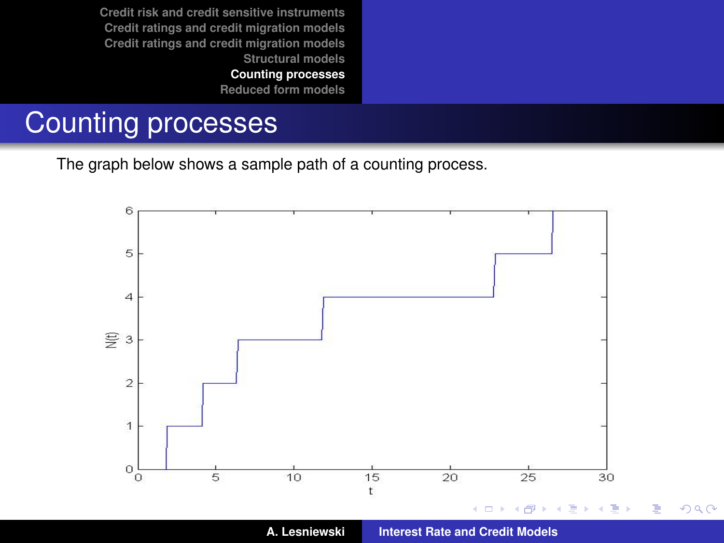**[Counting processes](#page-40-0)**

**[Reduced form models](#page-54-0)**

# Counting processes

The graph below shows a sample path of a counting process.

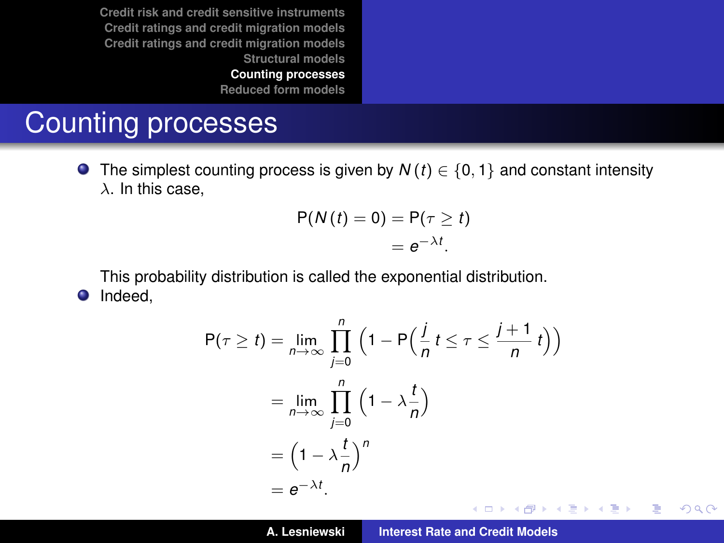**[Reduced form models](#page-54-0)**

# Counting processes

**O** The simplest counting process is given by  $N(t) \in \{0, 1\}$  and constant intensity  $\lambda$ . In this case.

$$
P(N(t) = 0) = P(\tau \ge t)
$$
  
=  $e^{-\lambda t}$ .

This probability distribution is called the exponential distribution. **O** Indeed,

$$
P(\tau \ge t) = \lim_{n \to \infty} \prod_{j=0}^{n} \left(1 - P\left(\frac{j}{n}t \le \tau \le \frac{j+1}{n}t\right)\right)
$$
  
= 
$$
\lim_{n \to \infty} \prod_{j=0}^{n} \left(1 - \lambda \frac{t}{n}\right)
$$
  
= 
$$
\left(1 - \lambda \frac{t}{n}\right)^n
$$
  
= 
$$
e^{-\lambda t}.
$$

 $2Q$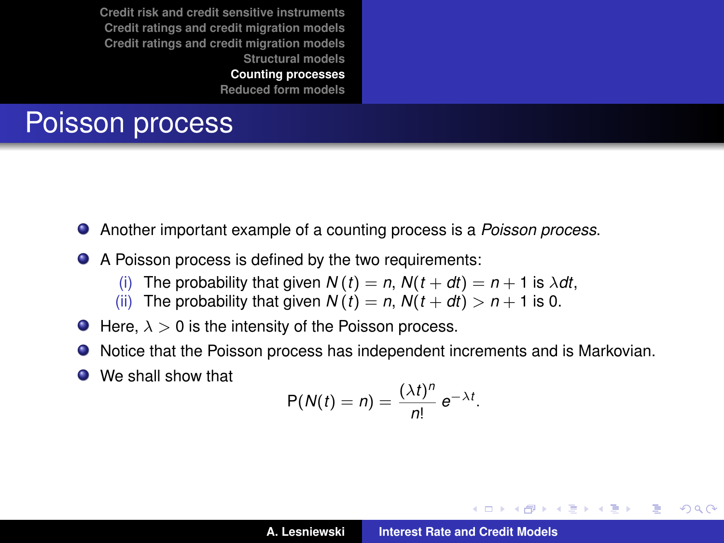**[Counting processes](#page-40-0)**

**[Reduced form models](#page-54-0)**

# <span id="page-45-0"></span>Poisson process

- Another important example of a counting process is a *Poisson process*.  $\bullet$
- A Poisson process is defined by the two requirements:
	- (i) The probability that given  $N(t) = n$ ,  $N(t + dt) = n + 1$  is  $\lambda dt$ ,
	- (ii) The probability that given  $N(t) = n$ ,  $N(t + dt) > n + 1$  is 0.
- $\bullet$  Here,  $\lambda > 0$  is the intensity of the Poisson process.
- Notice that the Poisson process has independent increments and is Markovian.
- We shall show that

$$
P(N(t) = n) = \frac{(\lambda t)^n}{n!} e^{-\lambda t}.
$$

(ロトス個) (運) (運)

Þ

 $298$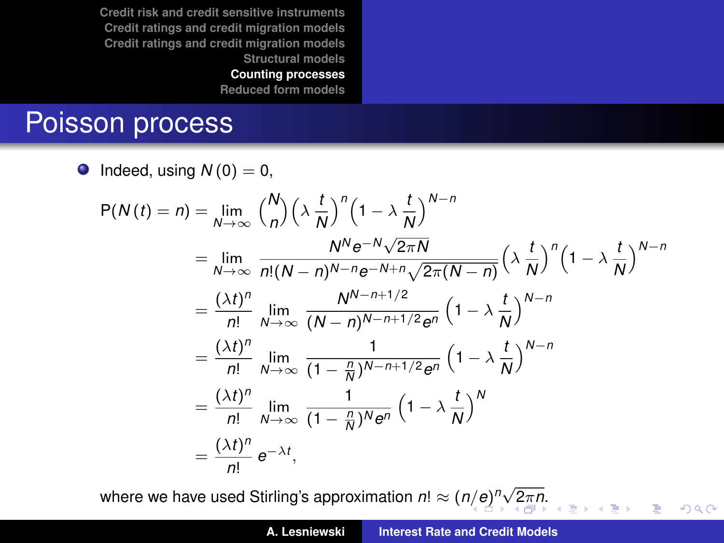**[Counting processes](#page-40-0)**

**[Reduced form models](#page-54-0)**

#### <span id="page-46-0"></span>Poisson process

 $\bullet$  Indeed, using  $N(0) = 0$ ,

$$
P(N(t) = n) = \lim_{N \to \infty} {N \choose n} \left(\lambda \frac{t}{N}\right)^n \left(1 - \lambda \frac{t}{N}\right)^{N-n}
$$
  
\n
$$
= \lim_{N \to \infty} \frac{N^N e^{-N} \sqrt{2\pi N}}{n!(N-n)^{N-n} e^{-N+n} \sqrt{2\pi (N-n)}} \left(\lambda \frac{t}{N}\right)^n \left(1 - \lambda \frac{t}{N}\right)^{N-n}
$$
  
\n
$$
= \frac{(\lambda t)^n}{n!} \lim_{N \to \infty} \frac{N^{N-n+1/2}}{(N-n)^{N-n+1/2} e^n} \left(1 - \lambda \frac{t}{N}\right)^{N-n}
$$
  
\n
$$
= \frac{(\lambda t)^n}{n!} \lim_{N \to \infty} \frac{1}{(1 - \frac{n}{N})^{N-n+1/2} e^n} \left(1 - \lambda \frac{t}{N}\right)^{N-n}
$$
  
\n
$$
= \frac{(\lambda t)^n}{n!} \lim_{N \to \infty} \frac{1}{(1 - \frac{n}{N})^N e^n} \left(1 - \lambda \frac{t}{N}\right)^N
$$
  
\n
$$
= \frac{(\lambda t)^n}{n!} e^{-\lambda t},
$$

where we have used Stirli[n](#page-46-0)g's approximation  $n! \approx (n/e)^n \sqrt{2\pi n}.$  $n! \approx (n/e)^n \sqrt{2\pi n}.$  $n! \approx (n/e)^n \sqrt{2\pi n}.$  $n! \approx (n/e)^n \sqrt{2\pi n}.$  $n! \approx (n/e)^n \sqrt{2\pi n}.$ 

÷,

 $2Q$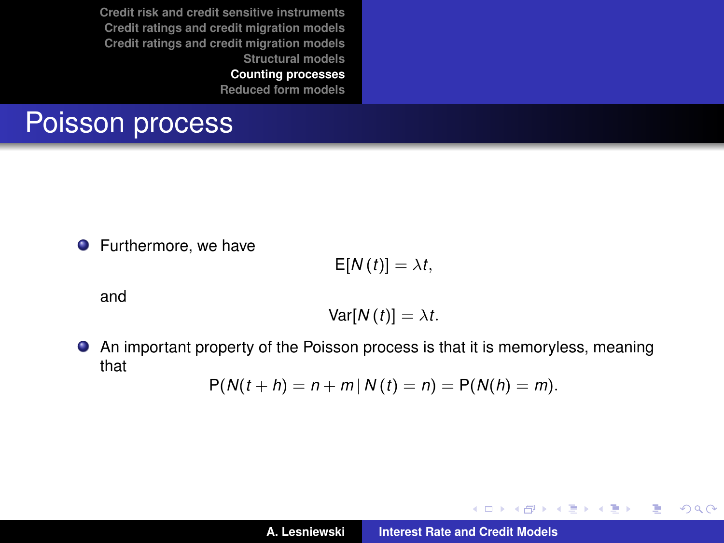**[Counting processes](#page-40-0)**

**[Reduced form models](#page-54-0)**

## <span id="page-47-0"></span>Poisson process

**•** Furthermore, we have

$$
\mathsf{E}[N(t)]=\lambda t,
$$

and

$$
Var[N(t)]=\lambda t.
$$

An important property of the Poisson process is that it is memoryless, meaning that

$$
P(N(t + h) = n + m | N(t) = n) = P(N(h) = m).
$$

イロメ イ部メ イ君メ イ君メー

 $2Q$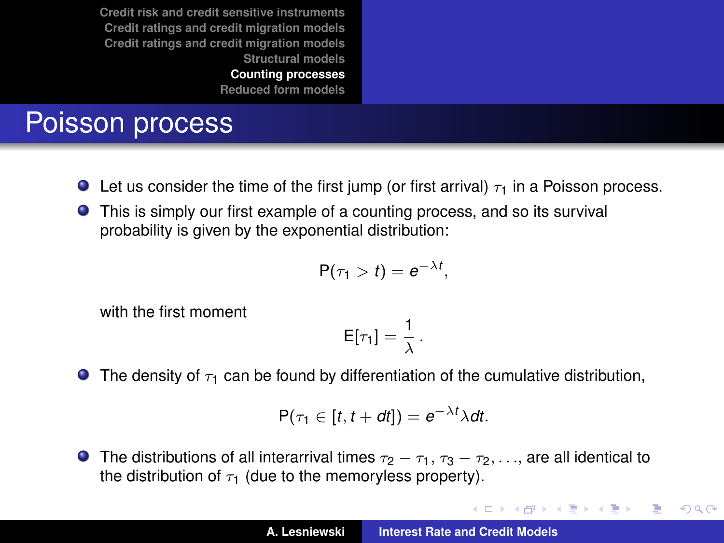**[Reduced form models](#page-54-0)**

# Poisson process

- **Let us consider the time of the first jump (or first arrival)**  $\tau_1$  in a Poisson process.
- **•** This is simply our first example of a counting process, and so its survival probability is given by the exponential distribution:

$$
P(\tau_1 > t) = e^{-\lambda t},
$$

with the first moment

$$
E[\tau_1]=\frac{1}{\lambda}.
$$

**The density of**  $\tau_1$  **can be found by differentiation of the cumulative distribution,** 

$$
P(\tau_1 \in [t, t+dt]) = e^{-\lambda t} \lambda dt.
$$

**The distributions of all interarrival times**  $\tau_2 - \tau_1$ ,  $\tau_3 - \tau_2$ , ..., are all identical to the distribution of  $\tau_1$  (due to the memoryless property).

イロメ イ団メ イヨメ イヨメー

 $2Q$ 重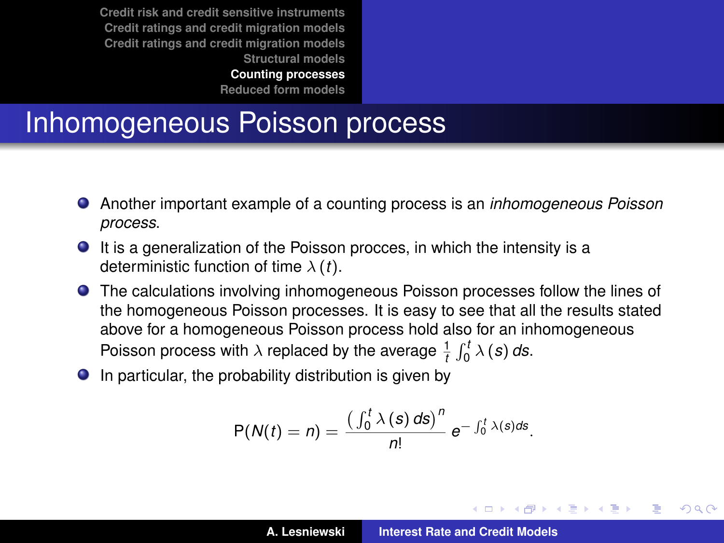**[Reduced form models](#page-54-0)**

### Inhomogeneous Poisson process

- Another important example of a counting process is an *inhomogeneous Poisson process*.
- It is a generalization of the Poisson procces, in which the intensity is a deterministic function of time λ (*t*).
- The calculations involving inhomogeneous Poisson processes follow the lines of the homogeneous Poisson processes. It is easy to see that all the results stated above for a homogeneous Poisson process hold also for an inhomogeneous Poisson process with  $\lambda$  replaced by the average  $\frac{1}{t} \int_0^t \lambda(s) ds$ .
- $\bullet$  In particular, the probability distribution is given by

$$
P(N(t) = n) = \frac{\left(\int_0^t \lambda(s) \, ds\right)^n}{n!} \, e^{-\int_0^t \lambda(s) \, ds}.
$$

イロメ イ部メ イヨメ イヨメー

 $QQQ$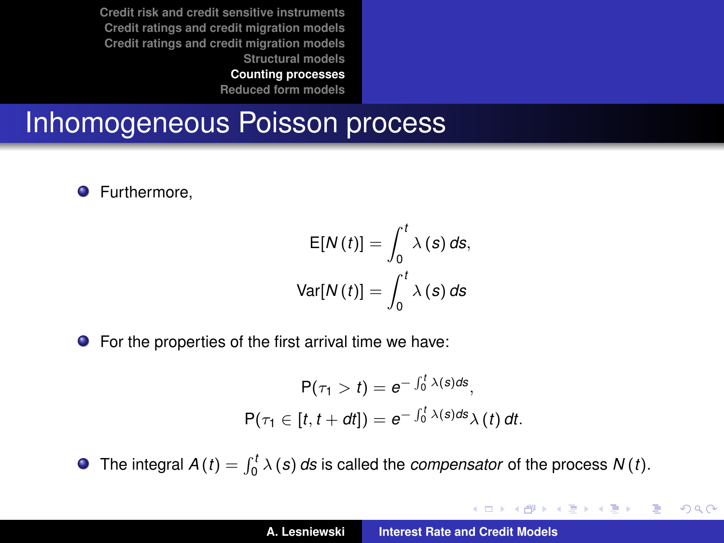**[Counting processes](#page-40-0)**

**[Reduced form models](#page-54-0)**

#### Inhomogeneous Poisson process

**O** Furthermore,

$$
E[N(t)] = \int_0^t \lambda(s) \, ds,
$$
  
Var[N(t)] = 
$$
\int_0^t \lambda(s) \, ds
$$

● For the properties of the first arrival time we have:

$$
P(\tau_1 > t) = e^{-\int_0^t \lambda(s)ds},
$$
  
 
$$
P(\tau_1 \in [t, t + dt]) = e^{-\int_0^t \lambda(s)ds} \lambda(t) dt.
$$

The integral  $A(t) = \int_0^t \lambda(s) ds$  is called the *compensator* of the process  $N(t)$ .

K ロ ⊁ K 伊 ⊁ K 君 ⊁ K 君 ⊁ …

重

 $2Q$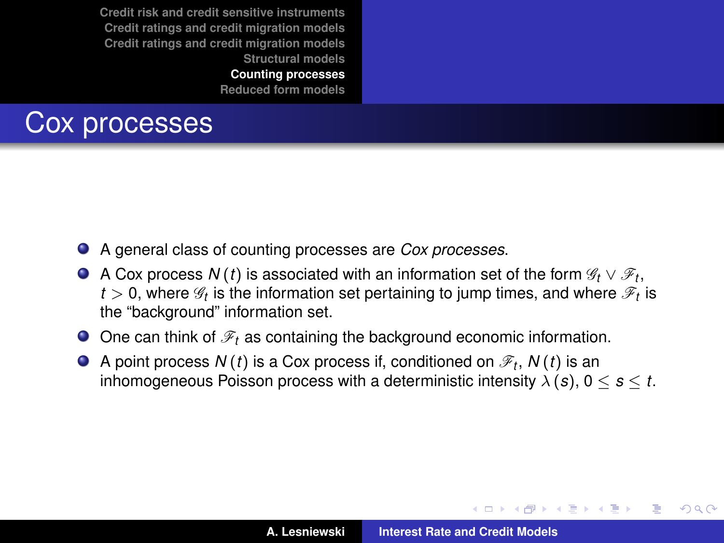**[Counting processes](#page-40-0)**

**[Reduced form models](#page-54-0)**

## Cox processes

- A general class of counting processes are *Cox processes*.
- A Cox process  $N(t)$  is associated with an information set of the form  $\mathscr{G}_t \vee \mathscr{F}_t,$  $t>$  0, where  $\mathscr{G}_t$  is the information set pertaining to jump times, and where  $\mathscr{F}_t$  is the "background" information set.
- $\bullet$  One can think of  $\mathcal{F}_t$  as containing the background economic information.
- A point process  $N\left( t\right)$  is a Cox process if, conditioned on  $\mathscr{F}_{t},$   $N\left( t\right)$  is an inhomogeneous Poisson process with a deterministic intensity  $\lambda(s)$ ,  $0 \le s \le t$ .

イロメ イ部メ イヨメ イヨメー

Þ  $2Q$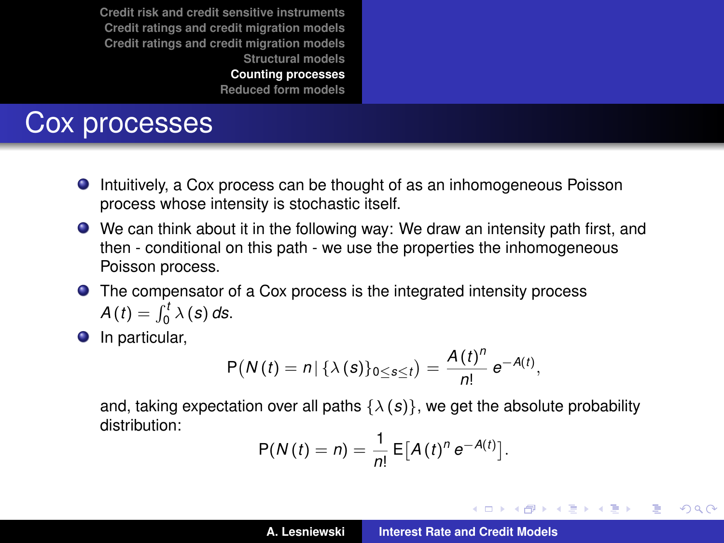**[Reduced form models](#page-54-0)**

#### Cox processes

- Intuitively, a Cox process can be thought of as an inhomogeneous Poisson process whose intensity is stochastic itself.
- We can think about it in the following way: We draw an intensity path first, and then - conditional on this path - we use the properties the inhomogeneous Poisson process.
- The compensator of a Cox process is the integrated intensity process  $A(t) = \int_0^t \lambda(s) ds.$
- **O** In particular,

$$
P(N(t) = n | \{ \lambda(s) \}_{0 \leq s \leq t} ) = \frac{A(t)^n}{n!} e^{-A(t)},
$$

and, taking expectation over all paths  $\{\lambda(s)\}\)$ , we get the absolute probability distribution:

$$
P(N(t) = n) = \frac{1}{n!} \mathsf{E}[A(t)^n e^{-A(t)}].
$$

イロメ イ部メ イヨメ イヨメー

 $2Q$ 

B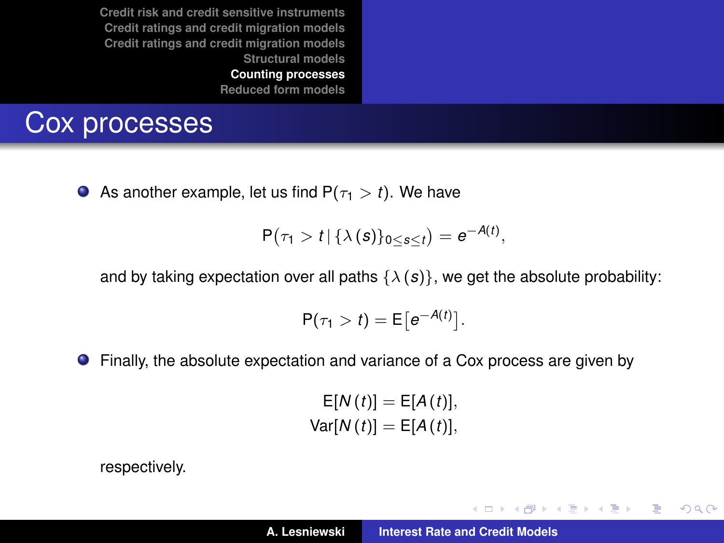#### <span id="page-53-0"></span>Cox processes

As another example, let us find  $P(\tau_1 > t)$ . We have

$$
P(\tau_1 > t \mid \{\lambda(s)\}_{0 \leq s \leq t}) = e^{-A(t)},
$$

and by taking expectation over all paths  $\{\lambda(s)\}\)$ , we get the absolute probability:

$$
P(\tau_1 > t) = E[e^{-A(t)}].
$$

Finally, the absolute expectation and variance of a Cox process are given by  $\bullet$ 

> $E[N(t)] = E[A(t)],$  $Var[N(t)] = E[A(t)],$

respectively.

イロメ イ部メ イ君メ イ君メー

 $2990$ 造っ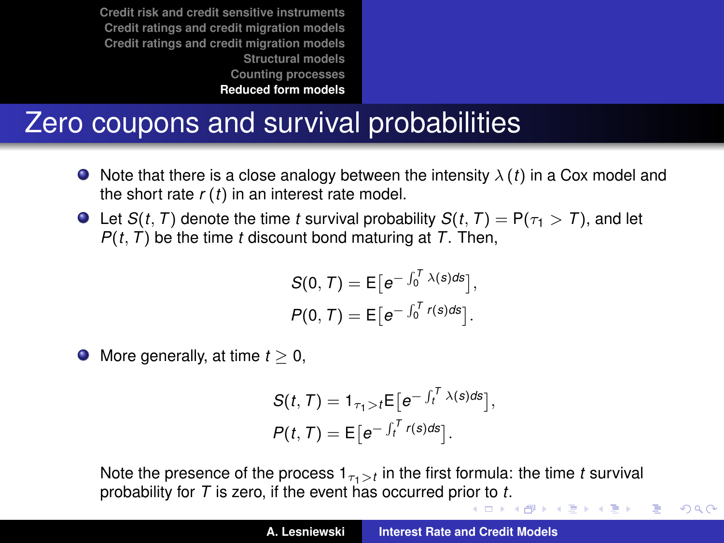# <span id="page-54-0"></span>Zero coupons and survival probabilities

- $\bullet$  Note that there is a close analogy between the intensity  $\lambda(t)$  in a Cox model and the short rate *r* (*t*) in an interest rate model.
- $\bullet$  Let *S*(*t*, *T*) denote the time *t* survival probability *S*(*t*, *T*) = P( $\tau_1 > T$ ), and let *P*(*t*, *T*) be the time *t* discount bond maturing at *T*. Then,

$$
S(0, T) = E[e^{-\int_0^T \lambda(s)ds}],
$$
  

$$
P(0, T) = E[e^{-\int_0^T r(s)ds}].
$$

 $\bullet$  More generally, at time  $t \geq 0$ ,

$$
S(t, T) = 1_{\tau_1 > t} E\big[e^{-\int_t^T \lambda(s) ds}\big],
$$
  
\n
$$
P(t, T) = E\big[e^{-\int_t^T r(s) ds}\big].
$$

Note the presence of the process  $1_{\tau_1>t}$  in the first formula: the time *t* survival **probability f[or](#page-53-0)** *T* **is zero, if [t](#page-55-0)he event has occurred prior to** *t***[.](#page-53-0)** 

 $QQ$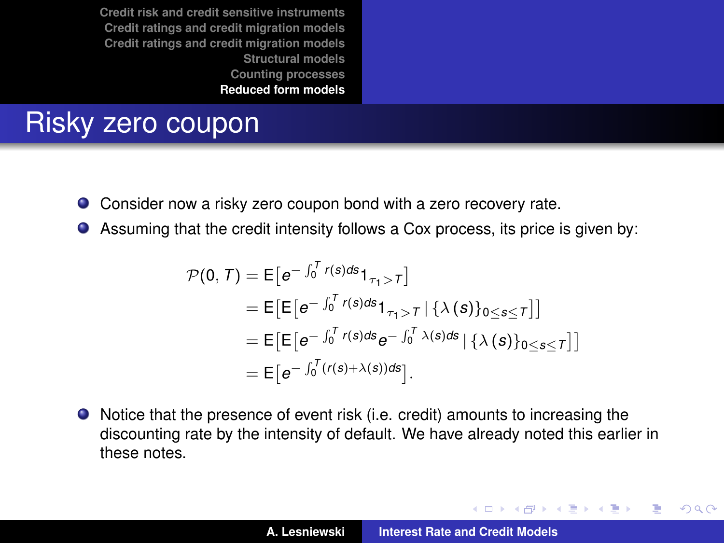## <span id="page-55-0"></span>Risky zero coupon

- $\bullet$ Consider now a risky zero coupon bond with a zero recovery rate.
- Assuming that the credit intensity follows a Cox process, its price is given by:  $\bullet$

$$
\mathcal{P}(0, T) = \mathsf{E}\big[e^{-\int_0^T r(s)ds} \mathbf{1}_{\tau_1 > T}\big]
$$
  
\n
$$
= \mathsf{E}\big[\mathsf{E}\big[e^{-\int_0^T r(s)ds} \mathbf{1}_{\tau_1 > T} | {\lambda(s)}_{0 \le s \le T}\big]\big]
$$
  
\n
$$
= \mathsf{E}\big[\mathsf{E}\big[e^{-\int_0^T r(s)ds} e^{-\int_0^T \lambda(s)ds} | {\lambda(s)}_{0 \le s \le T}\big]\big]
$$
  
\n
$$
= \mathsf{E}\big[e^{-\int_0^T (r(s) + \lambda(s))ds}\big].
$$

Notice that the presence of event risk (i.e. credit) amounts to increasing the discounting rate by the intensity of default. We have already noted this earlier in these notes.

イロメ イ部メ イ君メ イ君メー

 $QQQ$ Þ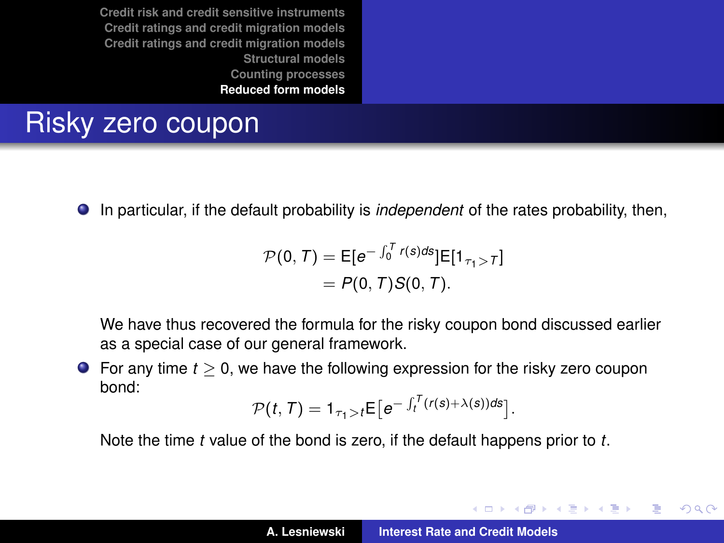# Risky zero coupon

In particular, if the default probability is *independent* of the rates probability, then,

$$
\mathcal{P}(0, T) = E[e^{-\int_0^T r(s)ds}]E[1_{\tau_1 > T}]
$$
  
=  $P(0, T)S(0, T).$ 

We have thus recovered the formula for the risky coupon bond discussed earlier as a special case of our general framework.

For any time *t* ≥ 0, we have the following expression for the risky zero coupon bond:

$$
\mathcal{P}(t,T) = \mathbf{1}_{\tau_1 > t} \mathsf{E}\big[e^{-\int_t^T (r(s)+\lambda(s))ds}\big].
$$

Note the time *t* value of the bond is zero, if the default happens prior to *t*.

K ロ ▶ K 御 ▶ K 君 ▶ K 君 ▶

 $QQQ$ Þ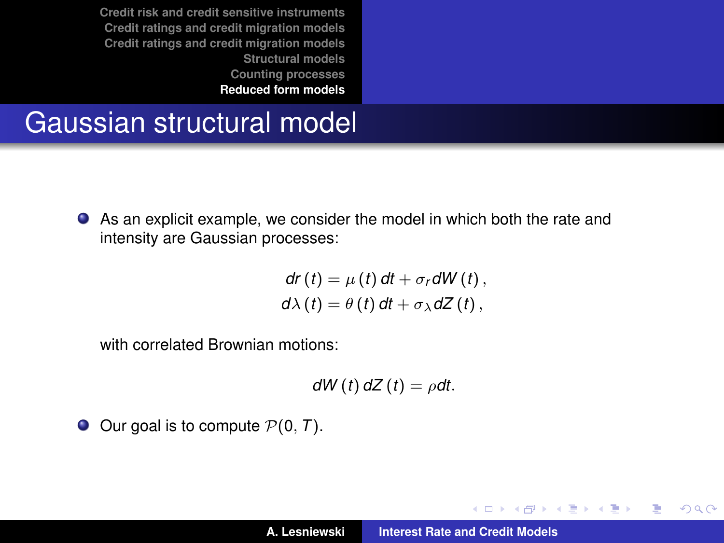#### <span id="page-57-0"></span>Gaussian structural model

As an explicit example, we consider the model in which both the rate and intensity are Gaussian processes:

$$
dr(t) = \mu(t) dt + \sigma_r dW(t),
$$
  
 
$$
d\lambda(t) = \theta(t) dt + \sigma_{\lambda} dZ(t),
$$

with correlated Brownian motions:

$$
dW(t) dZ(t) = \rho dt.
$$

 $\bullet$  Our goal is to compute  $P(0, T)$ .

イロト イ部 トイミト イヨト

 $299$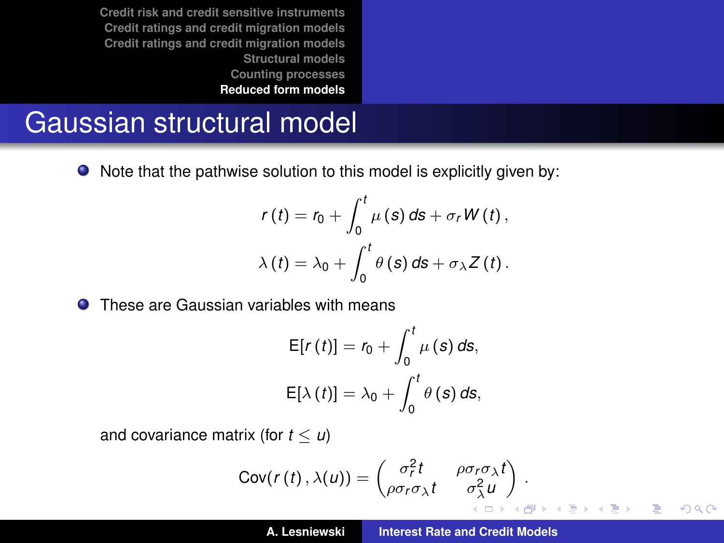#### Gaussian structural model

● Note that the pathwise solution to this model is explicitly given by:

$$
r(t) = r_0 + \int_0^t \mu(s) \, ds + \sigma_r W(t),
$$
  

$$
\lambda(t) = \lambda_0 + \int_0^t \theta(s) \, ds + \sigma_\lambda Z(t).
$$

**O** These are Gaussian variables with means

$$
E[r(t)] = r_0 + \int_0^t \mu(s) \, ds,
$$
  

$$
E[\lambda(t)] = \lambda_0 + \int_0^t \theta(s) \, ds,
$$

and covariance matrix (for  $t < u$ )

$$
Cov(r(t),\lambda(u)) = \begin{pmatrix} \sigma_r^2 t & \rho \sigma_r \sigma_\lambda t \\ \rho \sigma_r \sigma_\lambda t & \sigma_\lambda^2 u \end{pmatrix}.
$$

 $2Q$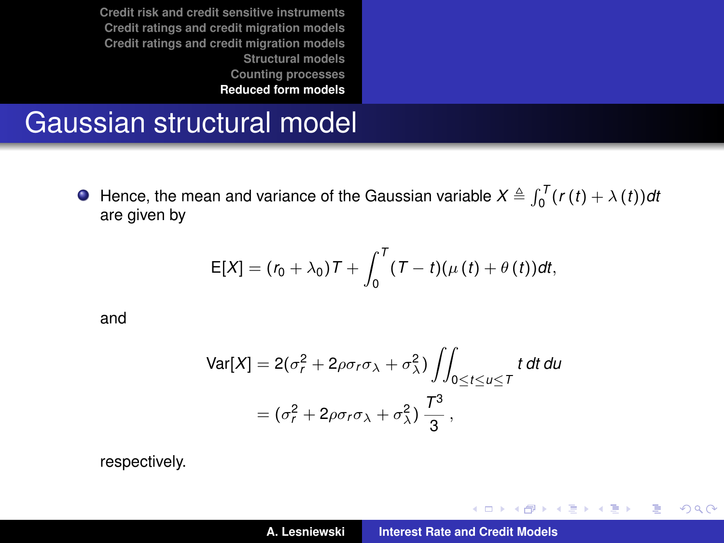#### Gaussian structural model

Hence, the mean and variance of the Gaussian variable  $X \triangleq \int_0^T (r(t) + \lambda(t)) dt$ are given by

$$
E[X] = (r_0 + \lambda_0)T + \int_0^T (T-t)(\mu(t) + \theta(t))dt,
$$

and

$$
\begin{aligned} \text{Var}[X] &= 2(\sigma_r^2 + 2\rho\sigma_r\sigma_\lambda + \sigma_\lambda^2) \iint_{0 \le t \le u \le T} t \, dt \, du \\ &= (\sigma_r^2 + 2\rho\sigma_r\sigma_\lambda + \sigma_\lambda^2) \, \frac{T^3}{3} \,, \end{aligned}
$$

respectively.

イロメ イ部メ イヨメ イヨメー

重

 $299$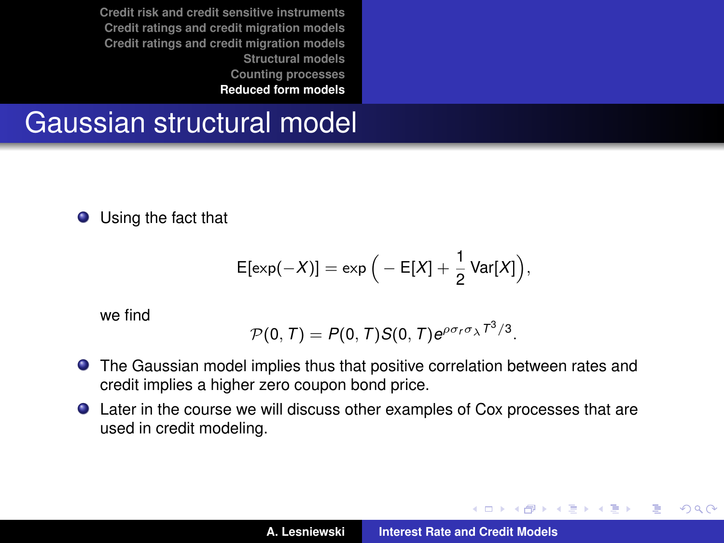#### Gaussian structural model

Using the fact that

$$
E[\exp(-X)] = \exp\Big(-E[X] + \frac{1}{2} \text{Var}[X]\Big),
$$

we find

$$
\mathcal{P}(0,T)=P(0,T)S(0,T)e^{\rho\sigma_r\sigma_{\lambda}T^3/3}.
$$

- The Gaussian model implies thus that positive correlation between rates and credit implies a higher zero coupon bond price.
- Later in the course we will discuss other examples of Cox processes that are used in credit modeling.

イロトス 伊 トス ヨ トス ヨ トー